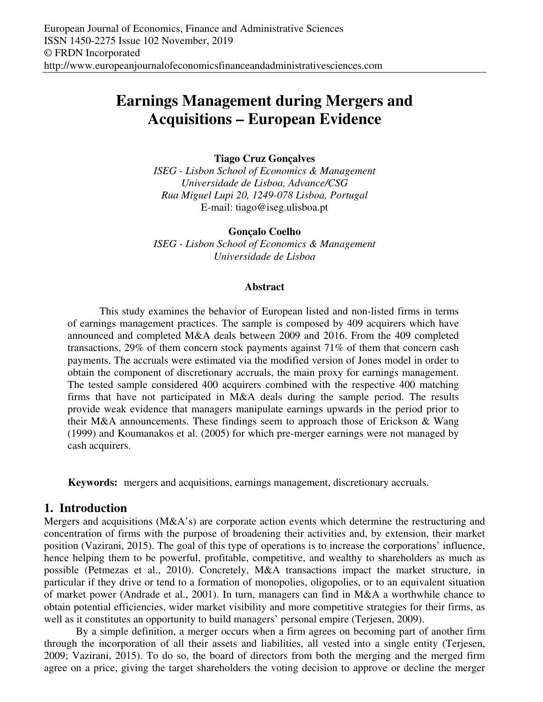# **Earnings Management during Mergers and Acquisitions – European Evidence**

**Tiago Cruz Gonçalves** 

*ISEG - Lisbon School of Economics & Management Universidade de Lisboa, Advance/CSG Rua Miguel Lupi 20, 1249-078 Lisboa, Portugal*  E-mail: tiago@iseg.ulisboa.pt

**Gonçalo Coelho**  *ISEG - Lisbon School of Economics & Management Universidade de Lisboa* 

#### **Abstract**

This study examines the behavior of European listed and non-listed firms in terms of earnings management practices. The sample is composed by 409 acquirers which have announced and completed M&A deals between 2009 and 2016. From the 409 completed transactions, 29% of them concern stock payments against 71% of them that concern cash payments. The accruals were estimated via the modified version of Jones model in order to obtain the component of discretionary accruals, the main proxy for earnings management. The tested sample considered 400 acquirers combined with the respective 400 matching firms that have not participated in M&A deals during the sample period. The results provide weak evidence that managers manipulate earnings upwards in the period prior to their M&A announcements. These findings seem to approach those of Erickson & Wang (1999) and Koumanakos et al. (2005) for which pre-merger earnings were not managed by cash acquirers.

**Keywords:** mergers and acquisitions, earnings management, discretionary accruals.

## **1. Introduction**

Mergers and acquisitions (M&A's) are corporate action events which determine the restructuring and concentration of firms with the purpose of broadening their activities and, by extension, their market position (Vazirani, 2015). The goal of this type of operations is to increase the corporations' influence, hence helping them to be powerful, profitable, competitive, and wealthy to shareholders as much as possible (Petmezas et al., 2010). Concretely, M&A transactions impact the market structure, in particular if they drive or tend to a formation of monopolies, oligopolies, or to an equivalent situation of market power (Andrade et al., 2001). In turn, managers can find in M&A a worthwhile chance to obtain potential efficiencies, wider market visibility and more competitive strategies for their firms, as well as it constitutes an opportunity to build managers' personal empire (Terjesen, 2009).

By a simple definition, a merger occurs when a firm agrees on becoming part of another firm through the incorporation of all their assets and liabilities, all vested into a single entity (Terjesen, 2009; Vazirani, 2015). To do so, the board of directors from both the merging and the merged firm agree on a price, giving the target shareholders the voting decision to approve or decline the merger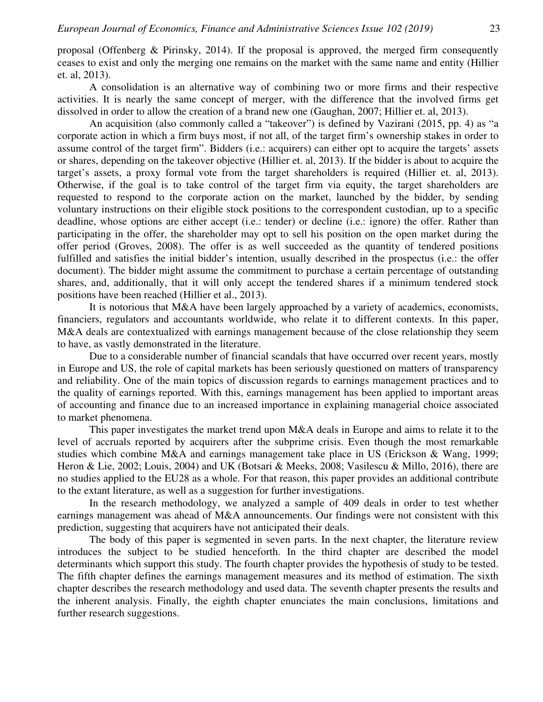proposal (Offenberg & Pirinsky, 2014). If the proposal is approved, the merged firm consequently ceases to exist and only the merging one remains on the market with the same name and entity (Hillier et. al, 2013).

A consolidation is an alternative way of combining two or more firms and their respective activities. It is nearly the same concept of merger, with the difference that the involved firms get dissolved in order to allow the creation of a brand new one (Gaughan, 2007; Hillier et. al, 2013).

An acquisition (also commonly called a "takeover") is defined by Vazirani (2015, pp. 4) as "a corporate action in which a firm buys most, if not all, of the target firm's ownership stakes in order to assume control of the target firm". Bidders (i.e.: acquirers) can either opt to acquire the targets' assets or shares, depending on the takeover objective (Hillier et. al, 2013). If the bidder is about to acquire the target's assets, a proxy formal vote from the target shareholders is required (Hillier et. al, 2013). Otherwise, if the goal is to take control of the target firm via equity, the target shareholders are requested to respond to the corporate action on the market, launched by the bidder, by sending voluntary instructions on their eligible stock positions to the correspondent custodian, up to a specific deadline, whose options are either accept (i.e.: tender) or decline (i.e.: ignore) the offer. Rather than participating in the offer, the shareholder may opt to sell his position on the open market during the offer period (Groves, 2008). The offer is as well succeeded as the quantity of tendered positions fulfilled and satisfies the initial bidder's intention, usually described in the prospectus (i.e.: the offer document). The bidder might assume the commitment to purchase a certain percentage of outstanding shares, and, additionally, that it will only accept the tendered shares if a minimum tendered stock positions have been reached (Hillier et al., 2013).

It is notorious that M&A have been largely approached by a variety of academics, economists, financiers, regulators and accountants worldwide, who relate it to different contexts. In this paper, M&A deals are contextualized with earnings management because of the close relationship they seem to have, as vastly demonstrated in the literature.

Due to a considerable number of financial scandals that have occurred over recent years, mostly in Europe and US, the role of capital markets has been seriously questioned on matters of transparency and reliability. One of the main topics of discussion regards to earnings management practices and to the quality of earnings reported. With this, earnings management has been applied to important areas of accounting and finance due to an increased importance in explaining managerial choice associated to market phenomena.

This paper investigates the market trend upon M&A deals in Europe and aims to relate it to the level of accruals reported by acquirers after the subprime crisis. Even though the most remarkable studies which combine M&A and earnings management take place in US (Erickson & Wang, 1999; Heron & Lie, 2002; Louis, 2004) and UK (Botsari & Meeks, 2008; Vasilescu & Millo, 2016), there are no studies applied to the EU28 as a whole. For that reason, this paper provides an additional contribute to the extant literature, as well as a suggestion for further investigations.

In the research methodology, we analyzed a sample of 409 deals in order to test whether earnings management was ahead of M&A announcements. Our findings were not consistent with this prediction, suggesting that acquirers have not anticipated their deals.

The body of this paper is segmented in seven parts. In the next chapter, the literature review introduces the subject to be studied henceforth. In the third chapter are described the model determinants which support this study. The fourth chapter provides the hypothesis of study to be tested. The fifth chapter defines the earnings management measures and its method of estimation. The sixth chapter describes the research methodology and used data. The seventh chapter presents the results and the inherent analysis. Finally, the eighth chapter enunciates the main conclusions, limitations and further research suggestions.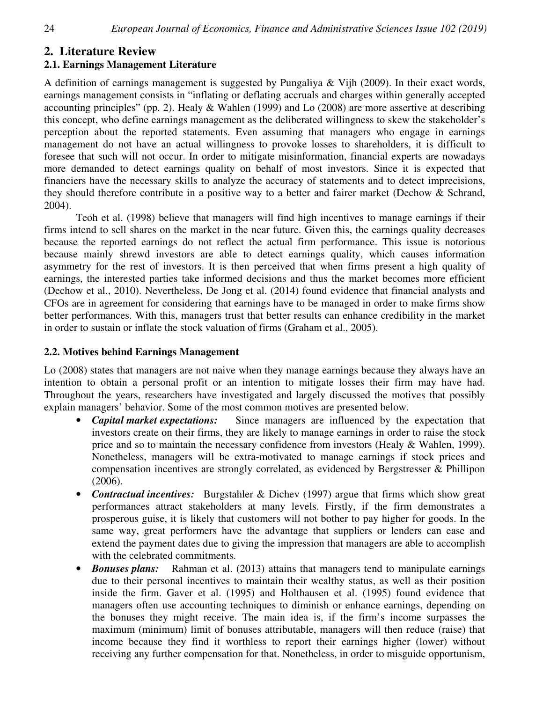## **2. Literature Review**

## **2.1. Earnings Management Literature**

A definition of earnings management is suggested by Pungaliya & Vijh (2009). In their exact words, earnings management consists in "inflating or deflating accruals and charges within generally accepted accounting principles" (pp. 2). Healy & Wahlen (1999) and Lo (2008) are more assertive at describing this concept, who define earnings management as the deliberated willingness to skew the stakeholder's perception about the reported statements. Even assuming that managers who engage in earnings management do not have an actual willingness to provoke losses to shareholders, it is difficult to foresee that such will not occur. In order to mitigate misinformation, financial experts are nowadays more demanded to detect earnings quality on behalf of most investors. Since it is expected that financiers have the necessary skills to analyze the accuracy of statements and to detect imprecisions, they should therefore contribute in a positive way to a better and fairer market (Dechow & Schrand, 2004).

Teoh et al. (1998) believe that managers will find high incentives to manage earnings if their firms intend to sell shares on the market in the near future. Given this, the earnings quality decreases because the reported earnings do not reflect the actual firm performance. This issue is notorious because mainly shrewd investors are able to detect earnings quality, which causes information asymmetry for the rest of investors. It is then perceived that when firms present a high quality of earnings, the interested parties take informed decisions and thus the market becomes more efficient (Dechow et al., 2010). Nevertheless, De Jong et al. (2014) found evidence that financial analysts and CFOs are in agreement for considering that earnings have to be managed in order to make firms show better performances. With this, managers trust that better results can enhance credibility in the market in order to sustain or inflate the stock valuation of firms (Graham et al., 2005).

## **2.2. Motives behind Earnings Management**

Lo (2008) states that managers are not naive when they manage earnings because they always have an intention to obtain a personal profit or an intention to mitigate losses their firm may have had. Throughout the years, researchers have investigated and largely discussed the motives that possibly explain managers' behavior. Some of the most common motives are presented below.

- *Capital market expectations:* Since managers are influenced by the expectation that investors create on their firms, they are likely to manage earnings in order to raise the stock price and so to maintain the necessary confidence from investors (Healy & Wahlen, 1999). Nonetheless, managers will be extra-motivated to manage earnings if stock prices and compensation incentives are strongly correlated, as evidenced by Bergstresser & Phillipon (2006).
- *Contractual incentives:* Burgstahler & Dichev (1997) argue that firms which show great performances attract stakeholders at many levels. Firstly, if the firm demonstrates a prosperous guise, it is likely that customers will not bother to pay higher for goods. In the same way, great performers have the advantage that suppliers or lenders can ease and extend the payment dates due to giving the impression that managers are able to accomplish with the celebrated commitments.
- *Bonuses plans:* Rahman et al. (2013) attains that managers tend to manipulate earnings due to their personal incentives to maintain their wealthy status, as well as their position inside the firm. Gaver et al. (1995) and Holthausen et al. (1995) found evidence that managers often use accounting techniques to diminish or enhance earnings, depending on the bonuses they might receive. The main idea is, if the firm's income surpasses the maximum (minimum) limit of bonuses attributable, managers will then reduce (raise) that income because they find it worthless to report their earnings higher (lower) without receiving any further compensation for that. Nonetheless, in order to misguide opportunism,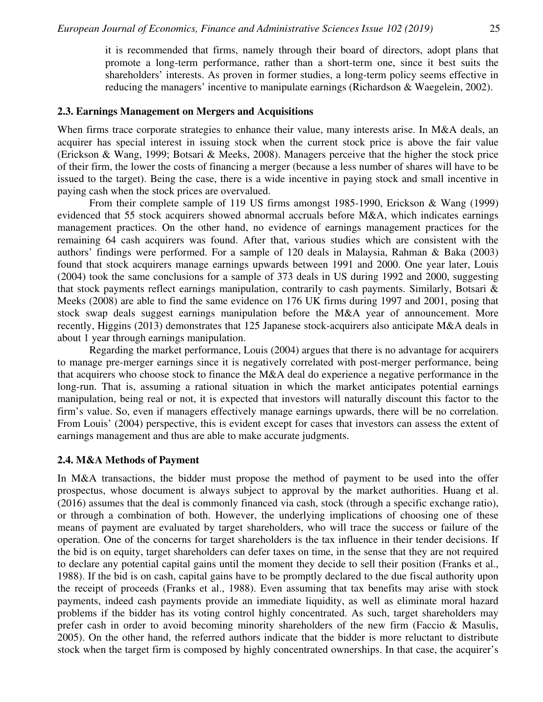it is recommended that firms, namely through their board of directors, adopt plans that promote a long-term performance, rather than a short-term one, since it best suits the shareholders' interests. As proven in former studies, a long-term policy seems effective in reducing the managers' incentive to manipulate earnings (Richardson & Waegelein, 2002).

#### **2.3. Earnings Management on Mergers and Acquisitions**

When firms trace corporate strategies to enhance their value, many interests arise. In M&A deals, an acquirer has special interest in issuing stock when the current stock price is above the fair value (Erickson & Wang, 1999; Botsari & Meeks, 2008). Managers perceive that the higher the stock price of their firm, the lower the costs of financing a merger (because a less number of shares will have to be issued to the target). Being the case, there is a wide incentive in paying stock and small incentive in paying cash when the stock prices are overvalued.

From their complete sample of 119 US firms amongst 1985-1990, Erickson & Wang (1999) evidenced that 55 stock acquirers showed abnormal accruals before M&A, which indicates earnings management practices. On the other hand, no evidence of earnings management practices for the remaining 64 cash acquirers was found. After that, various studies which are consistent with the authors' findings were performed. For a sample of 120 deals in Malaysia, Rahman & Baka (2003) found that stock acquirers manage earnings upwards between 1991 and 2000. One year later, Louis (2004) took the same conclusions for a sample of 373 deals in US during 1992 and 2000, suggesting that stock payments reflect earnings manipulation, contrarily to cash payments. Similarly, Botsari & Meeks (2008) are able to find the same evidence on 176 UK firms during 1997 and 2001, posing that stock swap deals suggest earnings manipulation before the M&A year of announcement. More recently, Higgins (2013) demonstrates that 125 Japanese stock-acquirers also anticipate M&A deals in about 1 year through earnings manipulation.

Regarding the market performance, Louis (2004) argues that there is no advantage for acquirers to manage pre-merger earnings since it is negatively correlated with post-merger performance, being that acquirers who choose stock to finance the M&A deal do experience a negative performance in the long-run. That is, assuming a rational situation in which the market anticipates potential earnings manipulation, being real or not, it is expected that investors will naturally discount this factor to the firm's value. So, even if managers effectively manage earnings upwards, there will be no correlation. From Louis' (2004) perspective, this is evident except for cases that investors can assess the extent of earnings management and thus are able to make accurate judgments.

#### **2.4. M&A Methods of Payment**

In M&A transactions, the bidder must propose the method of payment to be used into the offer prospectus, whose document is always subject to approval by the market authorities. Huang et al. (2016) assumes that the deal is commonly financed via cash, stock (through a specific exchange ratio), or through a combination of both. However, the underlying implications of choosing one of these means of payment are evaluated by target shareholders, who will trace the success or failure of the operation. One of the concerns for target shareholders is the tax influence in their tender decisions. If the bid is on equity, target shareholders can defer taxes on time, in the sense that they are not required to declare any potential capital gains until the moment they decide to sell their position (Franks et al., 1988). If the bid is on cash, capital gains have to be promptly declared to the due fiscal authority upon the receipt of proceeds (Franks et al., 1988). Even assuming that tax benefits may arise with stock payments, indeed cash payments provide an immediate liquidity, as well as eliminate moral hazard problems if the bidder has its voting control highly concentrated. As such, target shareholders may prefer cash in order to avoid becoming minority shareholders of the new firm (Faccio & Masulis, 2005). On the other hand, the referred authors indicate that the bidder is more reluctant to distribute stock when the target firm is composed by highly concentrated ownerships. In that case, the acquirer's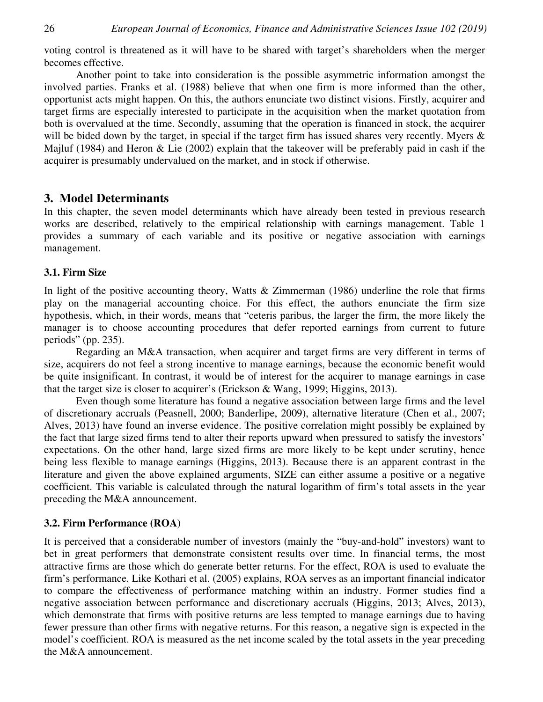voting control is threatened as it will have to be shared with target's shareholders when the merger becomes effective.

Another point to take into consideration is the possible asymmetric information amongst the involved parties. Franks et al. (1988) believe that when one firm is more informed than the other, opportunist acts might happen. On this, the authors enunciate two distinct visions. Firstly, acquirer and target firms are especially interested to participate in the acquisition when the market quotation from both is overvalued at the time. Secondly, assuming that the operation is financed in stock, the acquirer will be bided down by the target, in special if the target firm has issued shares very recently. Myers & Majluf (1984) and Heron & Lie (2002) explain that the takeover will be preferably paid in cash if the acquirer is presumably undervalued on the market, and in stock if otherwise.

## **3. Model Determinants**

In this chapter, the seven model determinants which have already been tested in previous research works are described, relatively to the empirical relationship with earnings management. Table 1 provides a summary of each variable and its positive or negative association with earnings management.

#### **3.1. Firm Size**

In light of the positive accounting theory, Watts  $& Zimmerman (1986)$  underline the role that firms play on the managerial accounting choice. For this effect, the authors enunciate the firm size hypothesis, which, in their words, means that "ceteris paribus, the larger the firm, the more likely the manager is to choose accounting procedures that defer reported earnings from current to future periods" (pp. 235).

Regarding an M&A transaction, when acquirer and target firms are very different in terms of size, acquirers do not feel a strong incentive to manage earnings, because the economic benefit would be quite insignificant. In contrast, it would be of interest for the acquirer to manage earnings in case that the target size is closer to acquirer's (Erickson & Wang, 1999; Higgins, 2013).

Even though some literature has found a negative association between large firms and the level of discretionary accruals (Peasnell, 2000; Banderlipe, 2009), alternative literature (Chen et al., 2007; Alves, 2013) have found an inverse evidence. The positive correlation might possibly be explained by the fact that large sized firms tend to alter their reports upward when pressured to satisfy the investors' expectations. On the other hand, large sized firms are more likely to be kept under scrutiny, hence being less flexible to manage earnings (Higgins, 2013). Because there is an apparent contrast in the literature and given the above explained arguments, SIZE can either assume a positive or a negative coefficient. This variable is calculated through the natural logarithm of firm's total assets in the year preceding the M&A announcement.

#### **3.2. Firm Performance (ROA)**

It is perceived that a considerable number of investors (mainly the "buy-and-hold" investors) want to bet in great performers that demonstrate consistent results over time. In financial terms, the most attractive firms are those which do generate better returns. For the effect, ROA is used to evaluate the firm's performance. Like Kothari et al. (2005) explains, ROA serves as an important financial indicator to compare the effectiveness of performance matching within an industry. Former studies find a negative association between performance and discretionary accruals (Higgins, 2013; Alves, 2013), which demonstrate that firms with positive returns are less tempted to manage earnings due to having fewer pressure than other firms with negative returns. For this reason, a negative sign is expected in the model's coefficient. ROA is measured as the net income scaled by the total assets in the year preceding the M&A announcement.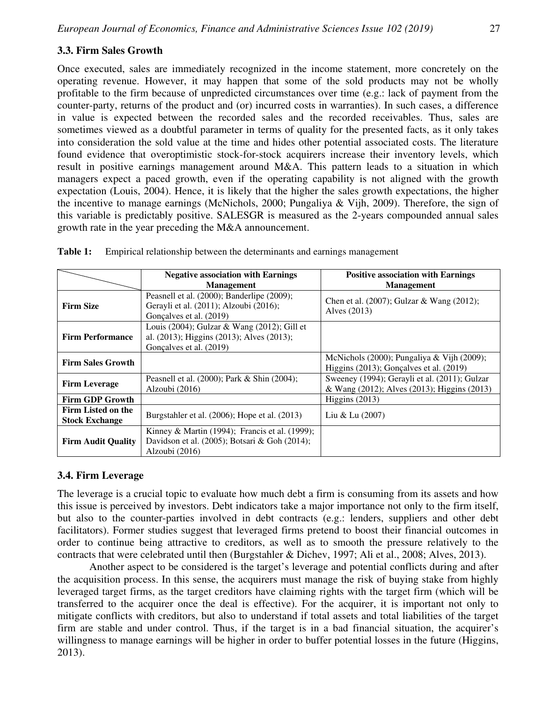## **3.3. Firm Sales Growth**

Once executed, sales are immediately recognized in the income statement, more concretely on the operating revenue. However, it may happen that some of the sold products may not be wholly profitable to the firm because of unpredicted circumstances over time (e.g.: lack of payment from the counter-party, returns of the product and (or) incurred costs in warranties). In such cases, a difference in value is expected between the recorded sales and the recorded receivables. Thus, sales are sometimes viewed as a doubtful parameter in terms of quality for the presented facts, as it only takes into consideration the sold value at the time and hides other potential associated costs. The literature found evidence that overoptimistic stock-for-stock acquirers increase their inventory levels, which result in positive earnings management around M&A. This pattern leads to a situation in which managers expect a paced growth, even if the operating capability is not aligned with the growth expectation (Louis, 2004). Hence, it is likely that the higher the sales growth expectations, the higher the incentive to manage earnings (McNichols, 2000; Pungaliya & Vijh, 2009). Therefore, the sign of this variable is predictably positive. SALESGR is measured as the 2-years compounded annual sales growth rate in the year preceding the M&A announcement.

|                                                    | <b>Negative association with Earnings</b>                                                                                     | <b>Positive association with Earnings</b>                                                    |
|----------------------------------------------------|-------------------------------------------------------------------------------------------------------------------------------|----------------------------------------------------------------------------------------------|
|                                                    | <b>Management</b>                                                                                                             | <b>Management</b>                                                                            |
| <b>Firm Size</b>                                   | Peasnell et al. (2000); Banderlipe (2009);<br>Gerayli et al. (2011); Alzoubi (2016);<br>Gonçalves et al. (2019)               | Chen et al. (2007); Gulzar & Wang (2012);<br>Alves (2013)                                    |
| <b>Firm Performance</b>                            | Louis (2004); Gulzar & Wang (2012); Gill et<br>al. (2013); Higgins (2013); Alves (2013);<br>Gonçalves et al. (2019)           |                                                                                              |
| <b>Firm Sales Growth</b>                           |                                                                                                                               | McNichols $(2000)$ ; Pungaliya & Vijh $(2009)$ ;<br>Higgins (2013); Gonçalves et al. (2019)  |
| <b>Firm Leverage</b>                               | Peasnell et al. (2000); Park & Shin (2004);<br>Alzoubi (2016)                                                                 | Sweeney (1994); Gerayli et al. (2011); Gulzar<br>& Wang (2012); Alves (2013); Higgins (2013) |
| <b>Firm GDP Growth</b>                             |                                                                                                                               | Higgins $(2013)$                                                                             |
| <b>Firm Listed on the</b><br><b>Stock Exchange</b> | Burgstahler et al. (2006); Hope et al. (2013)                                                                                 | Liu & Lu (2007)                                                                              |
| <b>Firm Audit Quality</b>                          | Kinney & Martin $(1994)$ ; Francis et al. $(1999)$ ;<br>Davidson et al. $(2005)$ ; Botsari & Goh $(2014)$ ;<br>Alzoubi (2016) |                                                                                              |

| <b>Table 1:</b> |  |  | Empirical relationship between the determinants and earnings management |
|-----------------|--|--|-------------------------------------------------------------------------|
|-----------------|--|--|-------------------------------------------------------------------------|

## **3.4. Firm Leverage**

The leverage is a crucial topic to evaluate how much debt a firm is consuming from its assets and how this issue is perceived by investors. Debt indicators take a major importance not only to the firm itself, but also to the counter-parties involved in debt contracts (e.g.: lenders, suppliers and other debt facilitators). Former studies suggest that leveraged firms pretend to boost their financial outcomes in order to continue being attractive to creditors, as well as to smooth the pressure relatively to the contracts that were celebrated until then (Burgstahler & Dichev, 1997; Ali et al., 2008; Alves, 2013).

Another aspect to be considered is the target's leverage and potential conflicts during and after the acquisition process. In this sense, the acquirers must manage the risk of buying stake from highly leveraged target firms, as the target creditors have claiming rights with the target firm (which will be transferred to the acquirer once the deal is effective). For the acquirer, it is important not only to mitigate conflicts with creditors, but also to understand if total assets and total liabilities of the target firm are stable and under control. Thus, if the target is in a bad financial situation, the acquirer's willingness to manage earnings will be higher in order to buffer potential losses in the future (Higgins, 2013).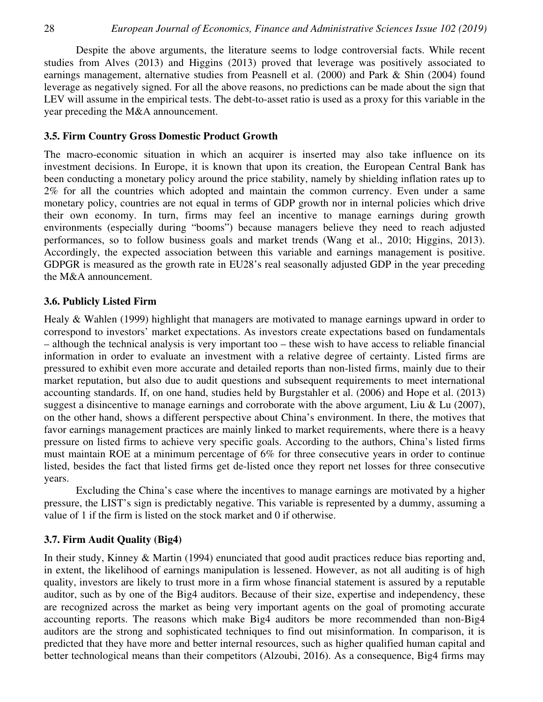Despite the above arguments, the literature seems to lodge controversial facts. While recent studies from Alves (2013) and Higgins (2013) proved that leverage was positively associated to earnings management, alternative studies from Peasnell et al. (2000) and Park & Shin (2004) found leverage as negatively signed. For all the above reasons, no predictions can be made about the sign that LEV will assume in the empirical tests. The debt-to-asset ratio is used as a proxy for this variable in the year preceding the M&A announcement.

#### **3.5. Firm Country Gross Domestic Product Growth**

The macro-economic situation in which an acquirer is inserted may also take influence on its investment decisions. In Europe, it is known that upon its creation, the European Central Bank has been conducting a monetary policy around the price stability, namely by shielding inflation rates up to 2% for all the countries which adopted and maintain the common currency. Even under a same monetary policy, countries are not equal in terms of GDP growth nor in internal policies which drive their own economy. In turn, firms may feel an incentive to manage earnings during growth environments (especially during "booms") because managers believe they need to reach adjusted performances, so to follow business goals and market trends (Wang et al., 2010; Higgins, 2013). Accordingly, the expected association between this variable and earnings management is positive. GDPGR is measured as the growth rate in EU28's real seasonally adjusted GDP in the year preceding the M&A announcement.

#### **3.6. Publicly Listed Firm**

Healy & Wahlen (1999) highlight that managers are motivated to manage earnings upward in order to correspond to investors' market expectations. As investors create expectations based on fundamentals – although the technical analysis is very important too – these wish to have access to reliable financial information in order to evaluate an investment with a relative degree of certainty. Listed firms are pressured to exhibit even more accurate and detailed reports than non-listed firms, mainly due to their market reputation, but also due to audit questions and subsequent requirements to meet international accounting standards. If, on one hand, studies held by Burgstahler et al. (2006) and Hope et al. (2013) suggest a disincentive to manage earnings and corroborate with the above argument, Liu & Lu (2007), on the other hand, shows a different perspective about China's environment. In there, the motives that favor earnings management practices are mainly linked to market requirements, where there is a heavy pressure on listed firms to achieve very specific goals. According to the authors, China's listed firms must maintain ROE at a minimum percentage of 6% for three consecutive years in order to continue listed, besides the fact that listed firms get de-listed once they report net losses for three consecutive years.

Excluding the China's case where the incentives to manage earnings are motivated by a higher pressure, the LIST's sign is predictably negative. This variable is represented by a dummy, assuming a value of 1 if the firm is listed on the stock market and 0 if otherwise.

## **3.7. Firm Audit Quality (Big4)**

In their study, Kinney & Martin (1994) enunciated that good audit practices reduce bias reporting and, in extent, the likelihood of earnings manipulation is lessened. However, as not all auditing is of high quality, investors are likely to trust more in a firm whose financial statement is assured by a reputable auditor, such as by one of the Big4 auditors. Because of their size, expertise and independency, these are recognized across the market as being very important agents on the goal of promoting accurate accounting reports. The reasons which make Big4 auditors be more recommended than non-Big4 auditors are the strong and sophisticated techniques to find out misinformation. In comparison, it is predicted that they have more and better internal resources, such as higher qualified human capital and better technological means than their competitors (Alzoubi, 2016). As a consequence, Big4 firms may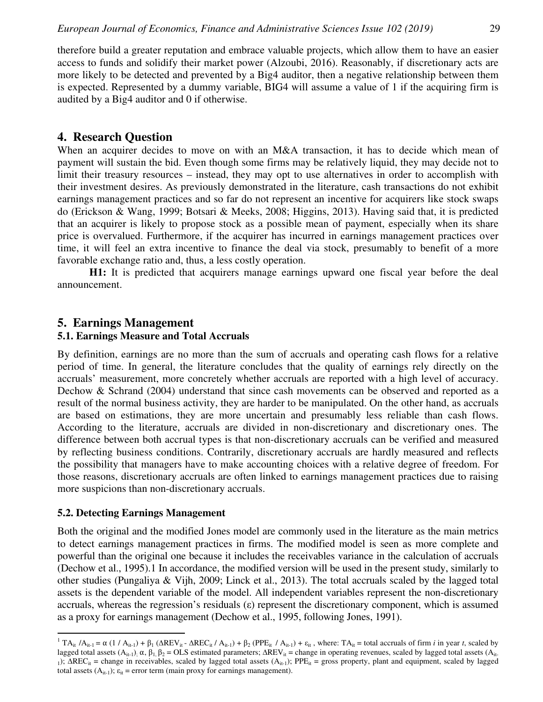therefore build a greater reputation and embrace valuable projects, which allow them to have an easier access to funds and solidify their market power (Alzoubi, 2016). Reasonably, if discretionary acts are more likely to be detected and prevented by a Big4 auditor, then a negative relationship between them is expected. Represented by a dummy variable, BIG4 will assume a value of 1 if the acquiring firm is audited by a Big4 auditor and 0 if otherwise.

## **4. Research Question**

When an acquirer decides to move on with an M&A transaction, it has to decide which mean of payment will sustain the bid. Even though some firms may be relatively liquid, they may decide not to limit their treasury resources – instead, they may opt to use alternatives in order to accomplish with their investment desires. As previously demonstrated in the literature, cash transactions do not exhibit earnings management practices and so far do not represent an incentive for acquirers like stock swaps do (Erickson & Wang, 1999; Botsari & Meeks, 2008; Higgins, 2013). Having said that, it is predicted that an acquirer is likely to propose stock as a possible mean of payment, especially when its share price is overvalued. Furthermore, if the acquirer has incurred in earnings management practices over time, it will feel an extra incentive to finance the deal via stock, presumably to benefit of a more favorable exchange ratio and, thus, a less costly operation.

**H1:** It is predicted that acquirers manage earnings upward one fiscal year before the deal announcement.

## **5. Earnings Management**

#### **5.1. Earnings Measure and Total Accruals**

By definition, earnings are no more than the sum of accruals and operating cash flows for a relative period of time. In general, the literature concludes that the quality of earnings rely directly on the accruals' measurement, more concretely whether accruals are reported with a high level of accuracy. Dechow & Schrand (2004) understand that since cash movements can be observed and reported as a result of the normal business activity, they are harder to be manipulated. On the other hand, as accruals are based on estimations, they are more uncertain and presumably less reliable than cash flows. According to the literature, accruals are divided in non-discretionary and discretionary ones. The difference between both accrual types is that non-discretionary accruals can be verified and measured by reflecting business conditions. Contrarily, discretionary accruals are hardly measured and reflects the possibility that managers have to make accounting choices with a relative degree of freedom. For those reasons, discretionary accruals are often linked to earnings management practices due to raising more suspicions than non-discretionary accruals.

## **5.2. Detecting Earnings Management**

-

Both the original and the modified Jones model are commonly used in the literature as the main metrics to detect earnings management practices in firms. The modified model is seen as more complete and powerful than the original one because it includes the receivables variance in the calculation of accruals (Dechow et al., 1995).1 In accordance, the modified version will be used in the present study, similarly to other studies (Pungaliya & Vijh, 2009; Linck et al., 2013). The total accruals scaled by the lagged total assets is the dependent variable of the model. All independent variables represent the non-discretionary accruals, whereas the regression's residuals (ε) represent the discretionary component, which is assumed as a proxy for earnings management (Dechow et al., 1995, following Jones, 1991).

<sup>&</sup>lt;sup>1</sup> TA<sub>it</sub> /A<sub>it-1</sub> = α (1 / A<sub>it-1</sub>) + β<sub>1</sub> (ΔREV<sub>it</sub> - ΔREC<sub>it</sub> / A<sub>it-1</sub>) + β<sub>2</sub> (PPE<sub>it</sub> / A<sub>it-1</sub>) + ε<sub>it</sub>, where: TA<sub>it</sub> = total accruals of firm *i* in year *t*, scaled by lagged total assets (A<sub>it-1</sub>); α,  $β_1$ ,  $β_2$  = OLS estimated parameters;  $\triangle REV_i$  = change in operating revenues, scaled by lagged total assets (A<sub>it-</sub> 1);  $\Delta \text{REC}_{it}$  = change in receivables, scaled by lagged total assets  $(A_{it-1})$ ; PPE<sub>it</sub> = gross property, plant and equipment, scaled by lagged total assets  $(A_{it-1})$ ;  $\varepsilon_{it}$  = error term (main proxy for earnings management).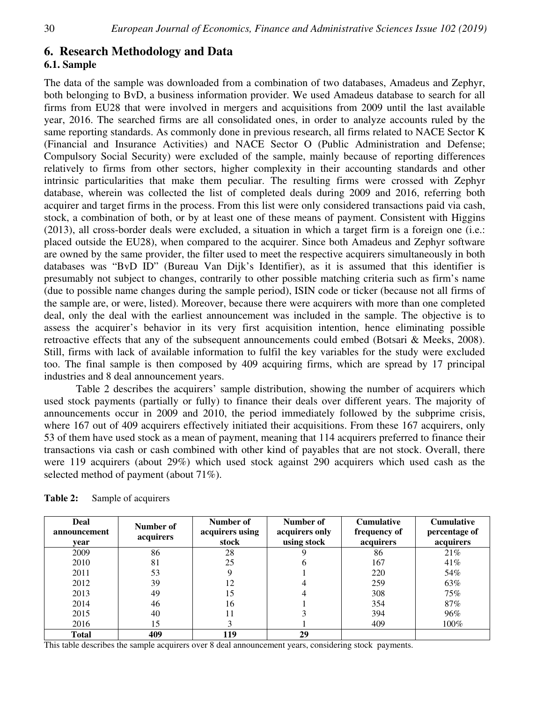## **6. Research Methodology and Data**

## **6.1. Sample**

The data of the sample was downloaded from a combination of two databases, Amadeus and Zephyr, both belonging to BvD, a business information provider. We used Amadeus database to search for all firms from EU28 that were involved in mergers and acquisitions from 2009 until the last available year, 2016. The searched firms are all consolidated ones, in order to analyze accounts ruled by the same reporting standards. As commonly done in previous research, all firms related to NACE Sector K (Financial and Insurance Activities) and NACE Sector O (Public Administration and Defense; Compulsory Social Security) were excluded of the sample, mainly because of reporting differences relatively to firms from other sectors, higher complexity in their accounting standards and other intrinsic particularities that make them peculiar. The resulting firms were crossed with Zephyr database, wherein was collected the list of completed deals during 2009 and 2016, referring both acquirer and target firms in the process. From this list were only considered transactions paid via cash, stock, a combination of both, or by at least one of these means of payment. Consistent with Higgins (2013), all cross-border deals were excluded, a situation in which a target firm is a foreign one (i.e.: placed outside the EU28), when compared to the acquirer. Since both Amadeus and Zephyr software are owned by the same provider, the filter used to meet the respective acquirers simultaneously in both databases was "BvD ID" (Bureau Van Dijk's Identifier), as it is assumed that this identifier is presumably not subject to changes, contrarily to other possible matching criteria such as firm's name (due to possible name changes during the sample period), ISIN code or ticker (because not all firms of the sample are, or were, listed). Moreover, because there were acquirers with more than one completed deal, only the deal with the earliest announcement was included in the sample. The objective is to assess the acquirer's behavior in its very first acquisition intention, hence eliminating possible retroactive effects that any of the subsequent announcements could embed (Botsari & Meeks, 2008). Still, firms with lack of available information to fulfil the key variables for the study were excluded too. The final sample is then composed by 409 acquiring firms, which are spread by 17 principal industries and 8 deal announcement years.

Table 2 describes the acquirers' sample distribution, showing the number of acquirers which used stock payments (partially or fully) to finance their deals over different years. The majority of announcements occur in 2009 and 2010, the period immediately followed by the subprime crisis, where 167 out of 409 acquirers effectively initiated their acquisitions. From these 167 acquirers, only 53 of them have used stock as a mean of payment, meaning that 114 acquirers preferred to finance their transactions via cash or cash combined with other kind of payables that are not stock. Overall, there were 119 acquirers (about 29%) which used stock against 290 acquirers which used cash as the selected method of payment (about 71%).

| Deal<br>announcement<br>vear | Number of<br>acquirers | Number of<br>acquirers using<br>stock | Number of<br>acquirers only<br>using stock | <b>Cumulative</b><br>frequency of<br>acquirers | <b>Cumulative</b><br>percentage of<br>acquirers |
|------------------------------|------------------------|---------------------------------------|--------------------------------------------|------------------------------------------------|-------------------------------------------------|
| 2009                         | 86                     | 28                                    |                                            | 86                                             | 21%                                             |
| 2010                         | 81                     | 25                                    | <sub>(</sub>                               | 167                                            | 41%                                             |
| 2011                         | 53                     |                                       |                                            | 220                                            | 54%                                             |
| 2012                         | 39                     | 12                                    |                                            | 259                                            | 63%                                             |
| 2013                         | 49                     | 15                                    |                                            | 308                                            | 75%                                             |
| 2014                         | 46                     | 16                                    |                                            | 354                                            | 87%                                             |
| 2015                         | 40                     | 11                                    |                                            | 394                                            | 96%                                             |
| 2016                         | 15                     |                                       |                                            | 409                                            | $100\%$                                         |
| <b>Total</b>                 | 409                    | 119                                   | 29                                         |                                                |                                                 |

**Table 2:** Sample of acquirers

This table describes the sample acquirers over 8 deal announcement years, considering stock payments.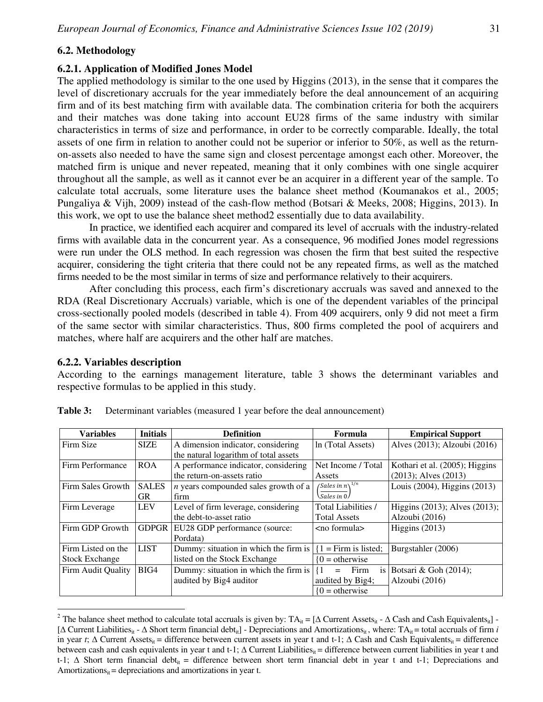## **6.2. Methodology**

#### **6.2.1. Application of Modified Jones Model**

The applied methodology is similar to the one used by Higgins (2013), in the sense that it compares the level of discretionary accruals for the year immediately before the deal announcement of an acquiring firm and of its best matching firm with available data. The combination criteria for both the acquirers and their matches was done taking into account EU28 firms of the same industry with similar characteristics in terms of size and performance, in order to be correctly comparable. Ideally, the total assets of one firm in relation to another could not be superior or inferior to 50%, as well as the returnon-assets also needed to have the same sign and closest percentage amongst each other. Moreover, the matched firm is unique and never repeated, meaning that it only combines with one single acquirer throughout all the sample, as well as it cannot ever be an acquirer in a different year of the sample. To calculate total accruals, some literature uses the balance sheet method (Koumanakos et al., 2005; Pungaliya & Vijh, 2009) instead of the cash-flow method (Botsari & Meeks, 2008; Higgins, 2013). In this work, we opt to use the balance sheet method2 essentially due to data availability.

In practice, we identified each acquirer and compared its level of accruals with the industry-related firms with available data in the concurrent year. As a consequence, 96 modified Jones model regressions were run under the OLS method. In each regression was chosen the firm that best suited the respective acquirer, considering the tight criteria that there could not be any repeated firms, as well as the matched firms needed to be the most similar in terms of size and performance relatively to their acquirers.

After concluding this process, each firm's discretionary accruals was saved and annexed to the RDA (Real Discretionary Accruals) variable, which is one of the dependent variables of the principal cross-sectionally pooled models (described in table 4). From 409 acquirers, only 9 did not meet a firm of the same sector with similar characteristics. Thus, 800 firms completed the pool of acquirers and matches, where half are acquirers and the other half are matches.

**6.2.2. Variables description** 

-

According to the earnings management literature, table 3 shows the determinant variables and respective formulas to be applied in this study.

| <b>Variables</b>      | <b>Initials</b> | <b>Definition</b>                           | Formula                      | <b>Empirical Support</b>       |
|-----------------------|-----------------|---------------------------------------------|------------------------------|--------------------------------|
| Firm Size             | <b>SIZE</b>     | A dimension indicator, considering          | In (Total Assets)            | Alves (2013); Alzoubi (2016)   |
|                       |                 | the natural logarithm of total assets       |                              |                                |
| Firm Performance      | <b>ROA</b>      | A performance indicator, considering        | Net Income / Total           | Kothari et al. (2005); Higgins |
|                       |                 | the return-on-assets ratio                  | <b>Assets</b>                | $(2013)$ ; Alves $(2013)$      |
| Firm Sales Growth     | <b>SALES</b>    | <i>n</i> years compounded sales growth of a | (Sales in $n\lambda^{1/n}$   | Louis (2004), Higgins (2013)   |
|                       | <b>GR</b>       | firm                                        | Sales in 0                   |                                |
| Firm Leverage         | <b>LEV</b>      | Level of firm leverage, considering         | Total Liabilities /          | Higgins (2013); Alves (2013);  |
|                       |                 | the debt-to-asset ratio                     | <b>Total Assets</b>          | Alzoubi (2016)                 |
| Firm GDP Growth       | GDPGR           | EU28 GDP performance (source:               | $no$ formula $>$             | Higgins $(2013)$               |
|                       |                 | Pordata)                                    |                              |                                |
| Firm Listed on the    | <b>LIST</b>     | Dummy: situation in which the firm is       | $\{1 =$ Firm is listed;      | Burgstahler (2006)             |
| <b>Stock Exchange</b> |                 | listed on the Stock Exchange                | $0 = \text{otherwise}$       |                                |
| Firm Audit Quality    | BIG4            | Dummy: situation in which the firm is $ 1$  | Firm<br>$=$<br><sup>is</sup> | Botsari & Goh (2014);          |
|                       |                 | audited by Big4 auditor                     | audited by Big4;             | Alzoubi (2016)                 |
|                       |                 |                                             | $0 =$ otherwise              |                                |

**Table 3:** Determinant variables (measured 1 year before the deal announcement)

<sup>&</sup>lt;sup>2</sup> The balance sheet method to calculate total accruals is given by: TA<sub>it</sub> = [ $\Delta$  Current Assets<sub>it</sub> -  $\Delta$  Cash and Cash Equivalents<sub>it</sub>] -[∆ Current Liabilities<sub>it</sub> - ∆ Short term financial debt<sub>it</sub>] - Depreciations and Amortizations<sub>it</sub>, where: TA<sub>it</sub> = total accruals of firm *i* in year *t*;  $\Delta$  Current Assets<sub>it</sub> = difference between current assets in year t and t-1;  $\Delta$  Cash and Cash Equivalents<sub>it</sub> = difference between cash and cash equivalents in year t and t-1;  $\Delta$  Current Liabilities<sub>it</sub> = difference between current liabilities in year t and t-1;  $\Delta$  Short term financial debt<sub>it</sub> = difference between short term financial debt in year t and t-1; Depreciations and Amortizations $s_{it}$  = depreciations and amortizations in year t.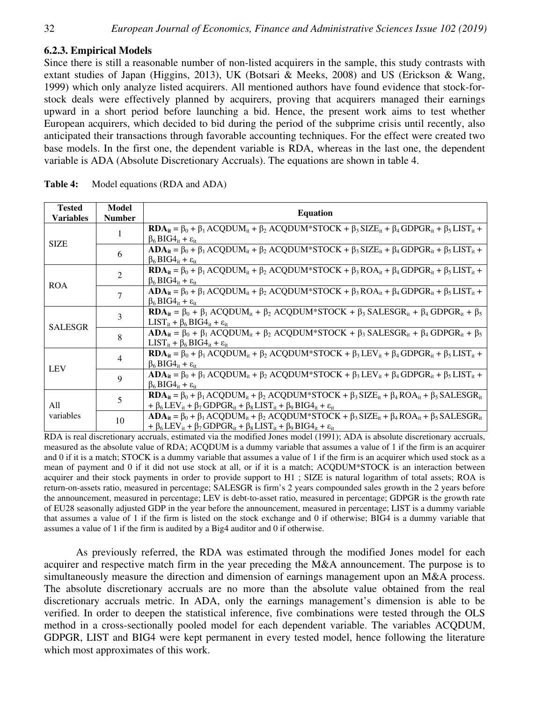#### **6.2.3. Empirical Models**

Since there is still a reasonable number of non-listed acquirers in the sample, this study contrasts with extant studies of Japan (Higgins, 2013), UK (Botsari & Meeks, 2008) and US (Erickson & Wang, 1999) which only analyze listed acquirers. All mentioned authors have found evidence that stock-forstock deals were effectively planned by acquirers, proving that acquirers managed their earnings upward in a short period before launching a bid. Hence, the present work aims to test whether European acquirers, which decided to bid during the period of the subprime crisis until recently, also anticipated their transactions through favorable accounting techniques. For the effect were created two base models. In the first one, the dependent variable is RDA, whereas in the last one, the dependent variable is ADA (Absolute Discretionary Accruals). The equations are shown in table 4.

| <b>Tested</b><br>Variables | Model<br><b>Number</b> | <b>Equation</b>                                                                                                                                                                                                                                                                                                                                               |
|----------------------------|------------------------|---------------------------------------------------------------------------------------------------------------------------------------------------------------------------------------------------------------------------------------------------------------------------------------------------------------------------------------------------------------|
|                            |                        | $\mathbf{RDA_{it}} = \beta_0 + \beta_1 \cdot \text{ACQDUM}_{it} + \beta_2 \cdot \text{ACQDUM*STOCK} + \beta_3 \cdot \text{SIZE}_{it} + \beta_4 \cdot \text{GDPGR}_{it} + \beta_5 \cdot \text{LIST}_{it} +$<br>$\beta_6$ BIG4 <sub>it</sub> + $\varepsilon_{it}$                                                                                               |
| <b>SIZE</b>                | 6                      | $ADA_{it} = \beta_0 + \beta_1 ACQDUM_{it} + \beta_2 ACQDUM*STOCK + \beta_3 SIZE_{it} + \beta_4 GDPGR_{it} + \beta_5 LIST_{it} +$<br>$\beta_6$ BIG4 <sub>it</sub> + $\varepsilon_{it}$                                                                                                                                                                         |
| <b>ROA</b>                 | $\overline{2}$         | $RDA_{it} = \beta_0 + \beta_1 ACQDUM_{it} + \beta_2 ACQDUM*STOCK + \beta_3 ROA_{it} + \beta_4 GDPGR_{it} + \beta_5 LIST_{it} +$<br>$\beta_6$ BIG4 <sub>it</sub> + $\varepsilon_{it}$                                                                                                                                                                          |
|                            |                        | $ADA_{it} = \beta_0 + \beta_1 A CQDUM_{it} + \beta_2 A CQDUM*STock + \beta_3 ROA_{it} + \beta_4 GDPGR_{it} + \beta_5 LIST_{it} +$<br>$\beta_6$ BIG4 <sub>it</sub> + $\varepsilon_{it}$                                                                                                                                                                        |
|                            | 3                      | $RDA_{it} = \beta_0 + \beta_1 ACQDUM_{it} + \beta_2 ACQDUM*STOCK + \beta_3 SALESGR_{it} + \beta_4 GDPGR_{it} + \beta_5$<br>LIST <sub>it</sub> + $\beta_6$ BIG4 <sub>it</sub> + $\varepsilon_{it}$                                                                                                                                                             |
| <b>SALESGR</b>             | 8                      | $\bf{ADA}_{it} = \beta_0 + \beta_1 \bf{ACQDUM}_{it} + \beta_2 \bf{ACQDUM*STOCK} + \beta_3 \bf{SALESGR}_{it} + \beta_4 \bf{GDPGR}_{it} + \beta_5$<br>$LIST_{it} + \beta_6 BIG4_{it} + \varepsilon_{it}$                                                                                                                                                        |
|                            | $\overline{4}$         | $RDA_{it} = \beta_0 + \beta_1 ACQDUM_{it} + \beta_2 ACQDUM*STOCK + \beta_3 LEV_{it} + \beta_4 GDPGR_{it} + \beta_5 LIST_{it} +$<br>$\beta_6$ BIG4 <sub>it</sub> + $\varepsilon_{it}$                                                                                                                                                                          |
| <b>LEV</b>                 | 9                      | $\bf{ADA}_{it} = \beta_0 + \beta_1 \bf{ACQDUM}_{it} + \beta_2 \bf{ACQDUM*STOCK} + \beta_3 \bf{LEV}_{it} + \beta_4 \bf{GDPGR}_{it} + \beta_5 \bf{LIST}_{it} +$<br>$\beta_6$ BIG4 <sub>it</sub> + $\varepsilon_{it}$                                                                                                                                            |
| All                        | 5                      | $\mathbf{RDA_{it}} = \beta_0 + \beta_1 \cdot \text{ACQDUM}_{it} + \beta_2 \cdot \text{ACQDUM*STOCK} + \beta_3 \cdot \text{SIZE}_{it} + \beta_4 \cdot \text{ROA}_{it} + \beta_5 \cdot \text{SALESGR}_{it}$<br>+ $\beta_6$ LEV <sub>it</sub> + $\beta_7$ GDPGR <sub>it</sub> + $\beta_8$ LIST <sub>it</sub> + $\beta_9$ BIG4 <sub>it</sub> + $\varepsilon_{it}$ |
| variables                  | 10                     | $\bf{ADA_{it}} = \beta_0 + \beta_1 \bf{ACQDUM_{it}} + \beta_2 \bf{ACQDUM*STOCK} + \beta_3 \bf{S} \bf{IZE_{it}} + \beta_4 \bf{ROA_{it}} + \beta_5 \bf{S} \bf{ALES} \bf{GR_{it}}$<br>+ $\beta_6$ LEV <sub>it</sub> + $\beta_7$ GDPGR <sub>it</sub> + $\beta_8$ LIST <sub>it</sub> + $\beta_9$ BIG4 <sub>it</sub> + $\varepsilon_{it}$                           |

| Table 4: |  | Model equations (RDA and ADA) |  |  |  |
|----------|--|-------------------------------|--|--|--|
|----------|--|-------------------------------|--|--|--|

RDA is real discretionary accruals, estimated via the modified Jones model (1991); ADA is absolute discretionary accruals, measured as the absolute value of RDA; ACQDUM is a dummy variable that assumes a value of 1 if the firm is an acquirer and 0 if it is a match; STOCK is a dummy variable that assumes a value of 1 if the firm is an acquirer which used stock as a mean of payment and 0 if it did not use stock at all, or if it is a match; ACQDUM\*STOCK is an interaction between acquirer and their stock payments in order to provide support to H1 ; SIZE is natural logarithm of total assets; ROA is return-on-assets ratio, measured in percentage; SALESGR is firm's 2 years compounded sales growth in the 2 years before the announcement, measured in percentage; LEV is debt-to-asset ratio, measured in percentage; GDPGR is the growth rate of EU28 seasonally adjusted GDP in the year before the announcement, measured in percentage; LIST is a dummy variable that assumes a value of 1 if the firm is listed on the stock exchange and 0 if otherwise; BIG4 is a dummy variable that assumes a value of 1 if the firm is audited by a Big4 auditor and 0 if otherwise.

As previously referred, the RDA was estimated through the modified Jones model for each acquirer and respective match firm in the year preceding the M&A announcement. The purpose is to simultaneously measure the direction and dimension of earnings management upon an M&A process. The absolute discretionary accruals are no more than the absolute value obtained from the real discretionary accruals metric. In ADA, only the earnings management's dimension is able to be verified. In order to deepen the statistical inference, five combinations were tested through the OLS method in a cross-sectionally pooled model for each dependent variable. The variables ACQDUM, GDPGR, LIST and BIG4 were kept permanent in every tested model, hence following the literature which most approximates of this work.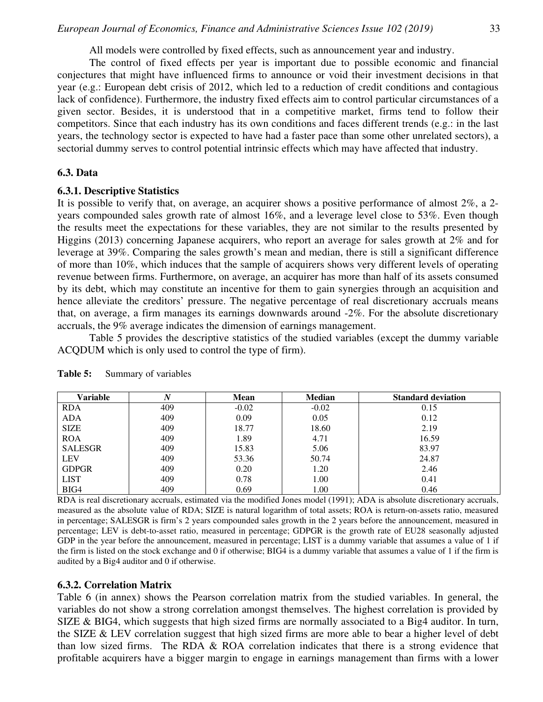All models were controlled by fixed effects, such as announcement year and industry.

The control of fixed effects per year is important due to possible economic and financial conjectures that might have influenced firms to announce or void their investment decisions in that year (e.g.: European debt crisis of 2012, which led to a reduction of credit conditions and contagious lack of confidence). Furthermore, the industry fixed effects aim to control particular circumstances of a given sector. Besides, it is understood that in a competitive market, firms tend to follow their competitors. Since that each industry has its own conditions and faces different trends (e.g.: in the last years, the technology sector is expected to have had a faster pace than some other unrelated sectors), a sectorial dummy serves to control potential intrinsic effects which may have affected that industry.

#### **6.3. Data**

#### **6.3.1. Descriptive Statistics**

It is possible to verify that, on average, an acquirer shows a positive performance of almost 2%, a 2 years compounded sales growth rate of almost 16%, and a leverage level close to 53%. Even though the results meet the expectations for these variables, they are not similar to the results presented by Higgins (2013) concerning Japanese acquirers, who report an average for sales growth at 2% and for leverage at 39%. Comparing the sales growth's mean and median, there is still a significant difference of more than 10%, which induces that the sample of acquirers shows very different levels of operating revenue between firms. Furthermore, on average, an acquirer has more than half of its assets consumed by its debt, which may constitute an incentive for them to gain synergies through an acquisition and hence alleviate the creditors' pressure. The negative percentage of real discretionary accruals means that, on average, a firm manages its earnings downwards around -2%. For the absolute discretionary accruals, the 9% average indicates the dimension of earnings management.

Table 5 provides the descriptive statistics of the studied variables (except the dummy variable ACQDUM which is only used to control the type of firm).

| <b>Variable</b> | $\boldsymbol{N}$ | <b>Mean</b> | <b>Median</b> | <b>Standard deviation</b> |
|-----------------|------------------|-------------|---------------|---------------------------|
| <b>RDA</b>      | 409              | $-0.02$     | $-0.02$       | 0.15                      |
| <b>ADA</b>      | 409              | 0.09        | 0.05          | 0.12                      |
| <b>SIZE</b>     | 409              | 18.77       | 18.60         | 2.19                      |
| <b>ROA</b>      | 409              | 1.89        | 4.71          | 16.59                     |
| <b>SALESGR</b>  | 409              | 15.83       | 5.06          | 83.97                     |
| <b>LEV</b>      | 409              | 53.36       | 50.74         | 24.87                     |
| <b>GDPGR</b>    | 409              | 0.20        | 1.20          | 2.46                      |
| <b>LIST</b>     | 409              | 0.78        | 1.00          | 0.41                      |
| BIG4            | 409              | 0.69        | 1.00          | 0.46                      |

**Table 5:** Summary of variables

RDA is real discretionary accruals, estimated via the modified Jones model (1991); ADA is absolute discretionary accruals, measured as the absolute value of RDA; SIZE is natural logarithm of total assets; ROA is return-on-assets ratio, measured in percentage; SALESGR is firm's 2 years compounded sales growth in the 2 years before the announcement, measured in percentage; LEV is debt-to-asset ratio, measured in percentage; GDPGR is the growth rate of EU28 seasonally adjusted GDP in the year before the announcement, measured in percentage; LIST is a dummy variable that assumes a value of 1 if the firm is listed on the stock exchange and 0 if otherwise; BIG4 is a dummy variable that assumes a value of 1 if the firm is audited by a Big4 auditor and 0 if otherwise.

## **6.3.2. Correlation Matrix**

Table 6 (in annex) shows the Pearson correlation matrix from the studied variables. In general, the variables do not show a strong correlation amongst themselves. The highest correlation is provided by SIZE & BIG4, which suggests that high sized firms are normally associated to a Big4 auditor. In turn, the SIZE & LEV correlation suggest that high sized firms are more able to bear a higher level of debt than low sized firms. The RDA  $\&$  ROA correlation indicates that there is a strong evidence that profitable acquirers have a bigger margin to engage in earnings management than firms with a lower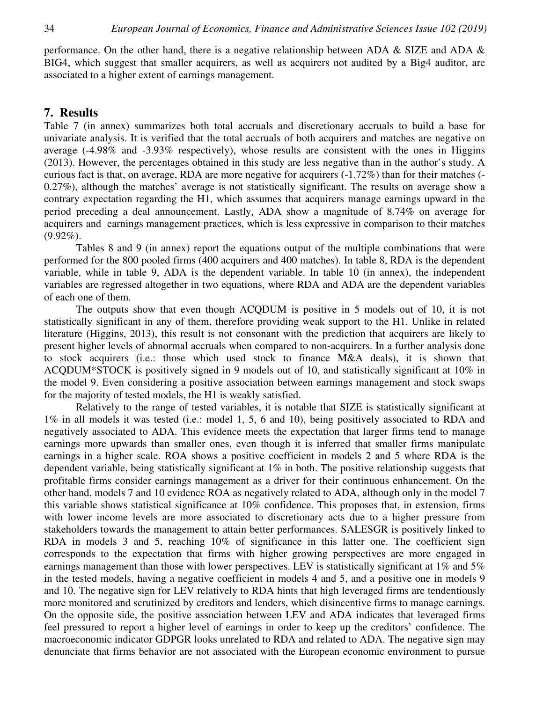performance. On the other hand, there is a negative relationship between ADA & SIZE and ADA & BIG4, which suggest that smaller acquirers, as well as acquirers not audited by a Big4 auditor, are associated to a higher extent of earnings management.

## **7. Results**

Table 7 (in annex) summarizes both total accruals and discretionary accruals to build a base for univariate analysis. It is verified that the total accruals of both acquirers and matches are negative on average (-4.98% and -3.93% respectively), whose results are consistent with the ones in Higgins (2013). However, the percentages obtained in this study are less negative than in the author's study. A curious fact is that, on average, RDA are more negative for acquirers (-1.72%) than for their matches (- 0.27%), although the matches' average is not statistically significant. The results on average show a contrary expectation regarding the H1, which assumes that acquirers manage earnings upward in the period preceding a deal announcement. Lastly, ADA show a magnitude of 8.74% on average for acquirers and earnings management practices, which is less expressive in comparison to their matches  $(9.92\%)$ .

Tables 8 and 9 (in annex) report the equations output of the multiple combinations that were performed for the 800 pooled firms (400 acquirers and 400 matches). In table 8, RDA is the dependent variable, while in table 9, ADA is the dependent variable. In table 10 (in annex), the independent variables are regressed altogether in two equations, where RDA and ADA are the dependent variables of each one of them.

The outputs show that even though ACQDUM is positive in 5 models out of 10, it is not statistically significant in any of them, therefore providing weak support to the H1. Unlike in related literature (Higgins, 2013), this result is not consonant with the prediction that acquirers are likely to present higher levels of abnormal accruals when compared to non-acquirers. In a further analysis done to stock acquirers (i.e.: those which used stock to finance M&A deals), it is shown that ACQDUM\*STOCK is positively signed in 9 models out of 10, and statistically significant at 10% in the model 9. Even considering a positive association between earnings management and stock swaps for the majority of tested models, the H1 is weakly satisfied.

Relatively to the range of tested variables, it is notable that SIZE is statistically significant at 1% in all models it was tested (i.e.: model 1, 5, 6 and 10), being positively associated to RDA and negatively associated to ADA. This evidence meets the expectation that larger firms tend to manage earnings more upwards than smaller ones, even though it is inferred that smaller firms manipulate earnings in a higher scale. ROA shows a positive coefficient in models 2 and 5 where RDA is the dependent variable, being statistically significant at 1% in both. The positive relationship suggests that profitable firms consider earnings management as a driver for their continuous enhancement. On the other hand, models 7 and 10 evidence ROA as negatively related to ADA, although only in the model 7 this variable shows statistical significance at 10% confidence. This proposes that, in extension, firms with lower income levels are more associated to discretionary acts due to a higher pressure from stakeholders towards the management to attain better performances. SALESGR is positively linked to RDA in models 3 and 5, reaching 10% of significance in this latter one. The coefficient sign corresponds to the expectation that firms with higher growing perspectives are more engaged in earnings management than those with lower perspectives. LEV is statistically significant at 1% and 5% in the tested models, having a negative coefficient in models 4 and 5, and a positive one in models 9 and 10. The negative sign for LEV relatively to RDA hints that high leveraged firms are tendentiously more monitored and scrutinized by creditors and lenders, which disincentive firms to manage earnings. On the opposite side, the positive association between LEV and ADA indicates that leveraged firms feel pressured to report a higher level of earnings in order to keep up the creditors' confidence. The macroeconomic indicator GDPGR looks unrelated to RDA and related to ADA. The negative sign may denunciate that firms behavior are not associated with the European economic environment to pursue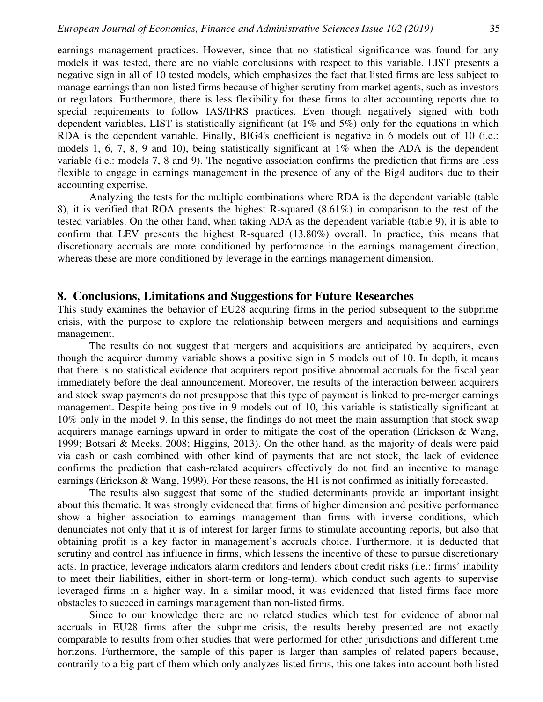earnings management practices. However, since that no statistical significance was found for any models it was tested, there are no viable conclusions with respect to this variable. LIST presents a negative sign in all of 10 tested models, which emphasizes the fact that listed firms are less subject to manage earnings than non-listed firms because of higher scrutiny from market agents, such as investors or regulators. Furthermore, there is less flexibility for these firms to alter accounting reports due to special requirements to follow IAS/IFRS practices. Even though negatively signed with both dependent variables, LIST is statistically significant (at 1% and 5%) only for the equations in which RDA is the dependent variable. Finally, BIG4's coefficient is negative in 6 models out of 10 (i.e.: models 1, 6, 7, 8, 9 and 10), being statistically significant at 1% when the ADA is the dependent variable (i.e.: models 7, 8 and 9). The negative association confirms the prediction that firms are less flexible to engage in earnings management in the presence of any of the Big4 auditors due to their accounting expertise.

Analyzing the tests for the multiple combinations where RDA is the dependent variable (table 8), it is verified that ROA presents the highest R-squared (8.61%) in comparison to the rest of the tested variables. On the other hand, when taking ADA as the dependent variable (table 9), it is able to confirm that LEV presents the highest R-squared (13.80%) overall. In practice, this means that discretionary accruals are more conditioned by performance in the earnings management direction, whereas these are more conditioned by leverage in the earnings management dimension.

## **8. Conclusions, Limitations and Suggestions for Future Researches**

This study examines the behavior of EU28 acquiring firms in the period subsequent to the subprime crisis, with the purpose to explore the relationship between mergers and acquisitions and earnings management.

The results do not suggest that mergers and acquisitions are anticipated by acquirers, even though the acquirer dummy variable shows a positive sign in 5 models out of 10. In depth, it means that there is no statistical evidence that acquirers report positive abnormal accruals for the fiscal year immediately before the deal announcement. Moreover, the results of the interaction between acquirers and stock swap payments do not presuppose that this type of payment is linked to pre-merger earnings management. Despite being positive in 9 models out of 10, this variable is statistically significant at 10% only in the model 9. In this sense, the findings do not meet the main assumption that stock swap acquirers manage earnings upward in order to mitigate the cost of the operation (Erickson & Wang, 1999; Botsari & Meeks, 2008; Higgins, 2013). On the other hand, as the majority of deals were paid via cash or cash combined with other kind of payments that are not stock, the lack of evidence confirms the prediction that cash-related acquirers effectively do not find an incentive to manage earnings (Erickson & Wang, 1999). For these reasons, the H1 is not confirmed as initially forecasted.

The results also suggest that some of the studied determinants provide an important insight about this thematic. It was strongly evidenced that firms of higher dimension and positive performance show a higher association to earnings management than firms with inverse conditions, which denunciates not only that it is of interest for larger firms to stimulate accounting reports, but also that obtaining profit is a key factor in management's accruals choice. Furthermore, it is deducted that scrutiny and control has influence in firms, which lessens the incentive of these to pursue discretionary acts. In practice, leverage indicators alarm creditors and lenders about credit risks (i.e.: firms' inability to meet their liabilities, either in short-term or long-term), which conduct such agents to supervise leveraged firms in a higher way. In a similar mood, it was evidenced that listed firms face more obstacles to succeed in earnings management than non-listed firms.

Since to our knowledge there are no related studies which test for evidence of abnormal accruals in EU28 firms after the subprime crisis, the results hereby presented are not exactly comparable to results from other studies that were performed for other jurisdictions and different time horizons. Furthermore, the sample of this paper is larger than samples of related papers because, contrarily to a big part of them which only analyzes listed firms, this one takes into account both listed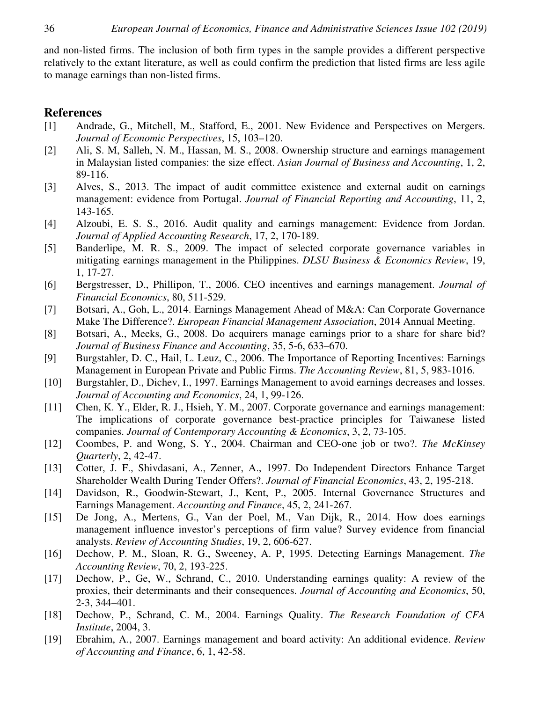and non-listed firms. The inclusion of both firm types in the sample provides a different perspective relatively to the extant literature, as well as could confirm the prediction that listed firms are less agile to manage earnings than non-listed firms.

## **References**

- [1] Andrade, G., Mitchell, M., Stafford, E., 2001. New Evidence and Perspectives on Mergers. *Journal of Economic Perspectives*, 15, 103–120.
- [2] Ali, S. M, Salleh, N. M., Hassan, M. S., 2008. Ownership structure and earnings management in Malaysian listed companies: the size effect. *Asian Journal of Business and Accounting*, 1, 2, 89-116.
- [3] Alves, S., 2013. The impact of audit committee existence and external audit on earnings management: evidence from Portugal. *Journal of Financial Reporting and Accounting*, 11, 2, 143-165.
- [4] Alzoubi, E. S. S., 2016. Audit quality and earnings management: Evidence from Jordan. *Journal of Applied Accounting Research*, 17, 2, 170-189.
- [5] Banderlipe, M. R. S., 2009. The impact of selected corporate governance variables in mitigating earnings management in the Philippines. *DLSU Business & Economics Review*, 19, 1, 17-27.
- [6] Bergstresser, D., Phillipon, T., 2006. CEO incentives and earnings management. *Journal of Financial Economics*, 80, 511-529.
- [7] Botsari, A., Goh, L., 2014. Earnings Management Ahead of M&A: Can Corporate Governance Make The Difference?. *European Financial Management Association*, 2014 Annual Meeting.
- [8] Botsari, A., Meeks, G., 2008. Do acquirers manage earnings prior to a share for share bid? *Journal of Business Finance and Accounting*, 35, 5-6, 633–670.
- [9] Burgstahler, D. C., Hail, L. Leuz, C., 2006. The Importance of Reporting Incentives: Earnings Management in European Private and Public Firms. *The Accounting Review*, 81, 5, 983-1016.
- [10] Burgstahler, D., Dichev, I., 1997. Earnings Management to avoid earnings decreases and losses. *Journal of Accounting and Economics*, 24, 1, 99-126.
- [11] Chen, K. Y., Elder, R. J., Hsieh, Y. M., 2007. Corporate governance and earnings management: The implications of corporate governance best-practice principles for Taiwanese listed companies. *Journal of Contemporary Accounting & Economics*, 3, 2, 73-105.
- [12] Coombes, P. and Wong, S. Y., 2004. Chairman and CEO-one job or two?. *The McKinsey Quarterly*, 2, 42-47.
- [13] Cotter, J. F., Shivdasani, A., Zenner, A., 1997. Do Independent Directors Enhance Target Shareholder Wealth During Tender Offers?. *Journal of Financial Economics*, 43, 2, 195-218.
- [14] Davidson, R., Goodwin-Stewart, J., Kent, P., 2005. Internal Governance Structures and Earnings Management. *Accounting and Finance*, 45, 2, 241-267.
- [15] De Jong, A., Mertens, G., Van der Poel, M., Van Dijk, R., 2014. How does earnings management influence investor's perceptions of firm value? Survey evidence from financial analysts. *Review of Accounting Studies*, 19, 2, 606-627.
- [16] Dechow, P. M., Sloan, R. G., Sweeney, A. P, 1995. Detecting Earnings Management. *The Accounting Review*, 70, 2, 193-225.
- [17] Dechow, P., Ge, W., Schrand, C., 2010. Understanding earnings quality: A review of the proxies, their determinants and their consequences. *Journal of Accounting and Economics*, 50, 2-3, 344–401.
- [18] Dechow, P., Schrand, C. M., 2004. Earnings Quality. *The Research Foundation of CFA Institute*, 2004, 3.
- [19] Ebrahim, A., 2007. Earnings management and board activity: An additional evidence. *Review of Accounting and Finance*, 6, 1, 42-58.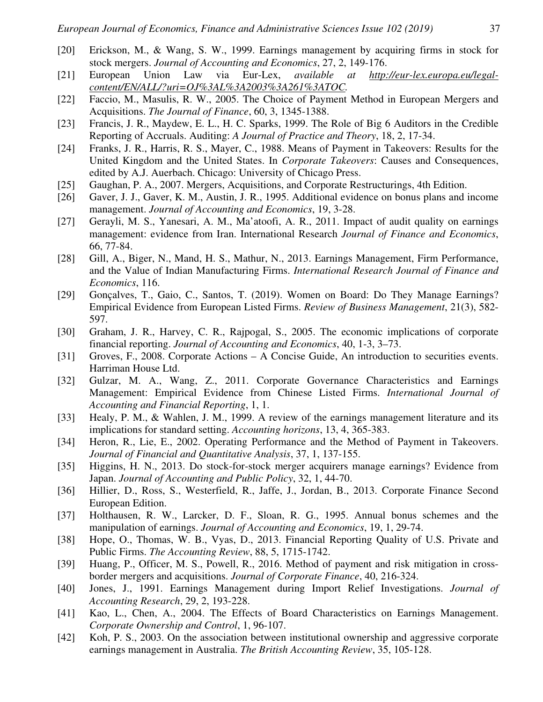- [20] Erickson, M., & Wang, S. W., 1999. Earnings management by acquiring firms in stock for stock mergers. *Journal of Accounting and Economics*, 27, 2, 149-176.
- [21] European Union Law via Eur-Lex, *available at http://eur-lex.europa.eu/legalcontent/EN/ALL/?uri=OJ%3AL%3A2003%3A261%3ATOC.*
- [22] Faccio, M., Masulis, R. W., 2005. The Choice of Payment Method in European Mergers and Acquisitions. *The Journal of Finance*, 60, 3, 1345-1388.
- [23] Francis, J. R., Maydew, E. L., H. C. Sparks, 1999. The Role of Big 6 Auditors in the Credible Reporting of Accruals. Auditing: *A Journal of Practice and Theory*, 18, 2, 17-34.
- [24] Franks, J. R., Harris, R. S., Mayer, C., 1988. Means of Payment in Takeovers: Results for the United Kingdom and the United States. In *Corporate Takeovers*: Causes and Consequences, edited by A.J. Auerbach. Chicago: University of Chicago Press.
- [25] Gaughan, P. A., 2007. Mergers, Acquisitions, and Corporate Restructurings, 4th Edition.
- [26] Gaver, J. J., Gaver, K. M., Austin, J. R., 1995. Additional evidence on bonus plans and income management. *Journal of Accounting and Economics*, 19, 3-28.
- [27] Gerayli, M. S., Yanesari, A. M., Ma'atoofi, A. R., 2011. Impact of audit quality on earnings management: evidence from Iran. International Research *Journal of Finance and Economics*, 66, 77-84.
- [28] Gill, A., Biger, N., Mand, H. S., Mathur, N., 2013. Earnings Management, Firm Performance, and the Value of Indian Manufacturing Firms. *International Research Journal of Finance and Economics*, 116.
- [29] Gonçalves, T., Gaio, C., Santos, T. (2019). Women on Board: Do They Manage Earnings? Empirical Evidence from European Listed Firms. *Review of Business Management*, 21(3), 582- 597.
- [30] Graham, J. R., Harvey, C. R., Rajpogal, S., 2005. The economic implications of corporate financial reporting. *Journal of Accounting and Economics*, 40, 1-3, 3–73.
- [31] Groves, F., 2008. Corporate Actions A Concise Guide, An introduction to securities events. Harriman House Ltd.
- [32] Gulzar, M. A., Wang, Z., 2011. Corporate Governance Characteristics and Earnings Management: Empirical Evidence from Chinese Listed Firms. *International Journal of Accounting and Financial Reporting*, 1, 1.
- [33] Healy, P. M., & Wahlen, J. M., 1999. A review of the earnings management literature and its implications for standard setting. *Accounting horizons*, 13, 4, 365-383.
- [34] Heron, R., Lie, E., 2002. Operating Performance and the Method of Payment in Takeovers. *Journal of Financial and Quantitative Analysis*, 37, 1, 137-155.
- [35] Higgins, H. N., 2013. Do stock-for-stock merger acquirers manage earnings? Evidence from Japan. *Journal of Accounting and Public Policy*, 32, 1, 44-70.
- [36] Hillier, D., Ross, S., Westerfield, R., Jaffe, J., Jordan, B., 2013. Corporate Finance Second European Edition.
- [37] Holthausen, R. W., Larcker, D. F., Sloan, R. G., 1995. Annual bonus schemes and the manipulation of earnings. *Journal of Accounting and Economics*, 19, 1, 29-74.
- [38] Hope, O., Thomas, W. B., Vyas, D., 2013. Financial Reporting Quality of U.S. Private and Public Firms. *The Accounting Review*, 88, 5, 1715-1742.
- [39] Huang, P., Officer, M. S., Powell, R., 2016. Method of payment and risk mitigation in crossborder mergers and acquisitions. *Journal of Corporate Finance*, 40, 216-324.
- [40] Jones, J., 1991. Earnings Management during Import Relief Investigations. *Journal of Accounting Research*, 29, 2, 193-228.
- [41] Kao, L., Chen, A., 2004. The Effects of Board Characteristics on Earnings Management. *Corporate Ownership and Control*, 1, 96-107.
- [42] Koh, P. S., 2003. On the association between institutional ownership and aggressive corporate earnings management in Australia. *The British Accounting Review*, 35, 105-128.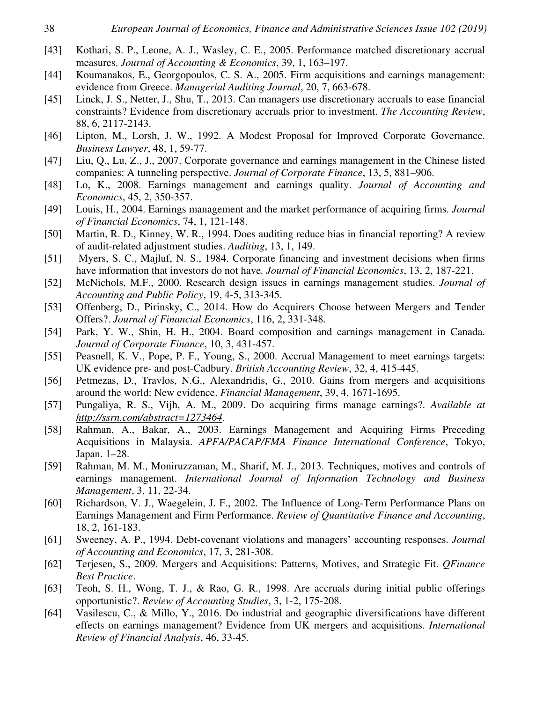- [43] Kothari, S. P., Leone, A. J., Wasley, C. E., 2005. Performance matched discretionary accrual measures. *Journal of Accounting & Economics*, 39, 1, 163–197.
- [44] Koumanakos, E., Georgopoulos, C. S. A., 2005. Firm acquisitions and earnings management: evidence from Greece. *Managerial Auditing Journal*, 20, 7, 663-678.
- [45] Linck, J. S., Netter, J., Shu, T., 2013. Can managers use discretionary accruals to ease financial constraints? Evidence from discretionary accruals prior to investment. *The Accounting Review*, 88, 6, 2117-2143.
- [46] Lipton, M., Lorsh, J. W., 1992. A Modest Proposal for Improved Corporate Governance. *Business Lawyer*, 48, 1, 59-77.
- [47] Liu, Q., Lu, Z., J., 2007. Corporate governance and earnings management in the Chinese listed companies: A tunneling perspective. *Journal of Corporate Finance*, 13, 5, 881–906.
- [48] Lo, K., 2008. Earnings management and earnings quality. *Journal of Accounting and Economics*, 45, 2, 350-357.
- [49] Louis, H., 2004. Earnings management and the market performance of acquiring firms. *Journal of Financial Economics*, 74, 1, 121-148.
- [50] Martin, R. D., Kinney, W. R., 1994. Does auditing reduce bias in financial reporting? A review of audit-related adjustment studies. *Auditing*, 13, 1, 149.
- [51] Myers, S. C., Majluf, N. S., 1984. Corporate financing and investment decisions when firms have information that investors do not have*. Journal of Financial Economics*, 13, 2, 187-221.
- [52] McNichols, M.F., 2000. Research design issues in earnings management studies. *Journal of Accounting and Public Policy*, 19, 4-5, 313-345.
- [53] Offenberg, D., Pirinsky, C., 2014. How do Acquirers Choose between Mergers and Tender Offers?. *Journal of Financial Economics*, 116, 2, 331-348.
- [54] Park, Y. W., Shin, H. H., 2004. Board composition and earnings management in Canada. *Journal of Corporate Finance*, 10, 3, 431-457.
- [55] Peasnell, K. V., Pope, P. F., Young, S., 2000. Accrual Management to meet earnings targets: UK evidence pre- and post-Cadbury. *British Accounting Review*, 32, 4, 415-445.
- [56] Petmezas, D., Travlos, N.G., Alexandridis, G., 2010. Gains from mergers and acquisitions around the world: New evidence. *Financial Management*, 39, 4, 1671-1695.
- [57] Pungaliya, R. S., Vijh, A. M., 2009. Do acquiring firms manage earnings?. *Available at http://ssrn.com/abstract=1273464.*
- [58] Rahman, A., Bakar, A., 2003. Earnings Management and Acquiring Firms Preceding Acquisitions in Malaysia. *APFA/PACAP/FMA Finance International Conference*, Tokyo, Japan. 1–28.
- [59] Rahman, M. M., Moniruzzaman, M., Sharif, M. J., 2013. Techniques, motives and controls of earnings management. *International Journal of Information Technology and Business Management*, 3, 11, 22-34.
- [60] Richardson, V. J., Waegelein, J. F., 2002. The Influence of Long-Term Performance Plans on Earnings Management and Firm Performance. *Review of Quantitative Finance and Accounting*, 18, 2, 161-183.
- [61] Sweeney, A. P., 1994. Debt-covenant violations and managers' accounting responses. *Journal of Accounting and Economics*, 17, 3, 281-308.
- [62] Terjesen, S., 2009. Mergers and Acquisitions: Patterns, Motives, and Strategic Fit. *QFinance Best Practice*.
- [63] Teoh, S. H., Wong, T. J., & Rao, G. R., 1998. Are accruals during initial public offerings opportunistic?. *Review of Accounting Studies*, 3, 1-2, 175-208.
- [64] Vasilescu, C., & Millo, Y., 2016. Do industrial and geographic diversifications have different effects on earnings management? Evidence from UK mergers and acquisitions. *International Review of Financial Analysis*, 46, 33-45.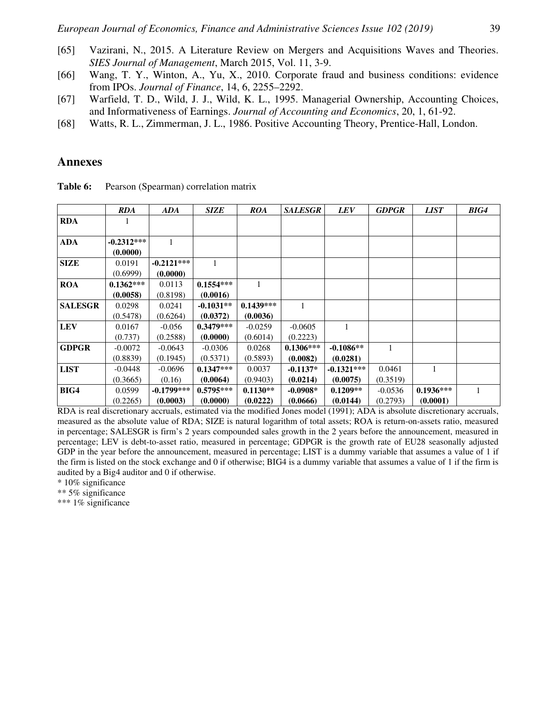- [65] Vazirani, N., 2015. A Literature Review on Mergers and Acquisitions Waves and Theories. *SIES Journal of Management*, March 2015, Vol. 11, 3-9.
- [66] Wang, T. Y., Winton, A., Yu, X., 2010. Corporate fraud and business conditions: evidence from IPOs. *Journal of Finance*, 14, 6, 2255–2292.
- [67] Warfield, T. D., Wild, J. J., Wild, K. L., 1995. Managerial Ownership, Accounting Choices, and Informativeness of Earnings. *Journal of Accounting and Economics*, 20, 1, 61-92.
- [68] Watts, R. L., Zimmerman, J. L., 1986. Positive Accounting Theory, Prentice-Hall, London.

## **Annexes**

|                | <b>RDA</b>   | ADA          | SIZE        | ROA         | <b>SALESGR</b> | <b>LEV</b>   | <b>GDPGR</b> | <i>LIST</i> | BIG4 |
|----------------|--------------|--------------|-------------|-------------|----------------|--------------|--------------|-------------|------|
| <b>RDA</b>     |              |              |             |             |                |              |              |             |      |
|                |              |              |             |             |                |              |              |             |      |
| <b>ADA</b>     | $-0.2312***$ |              |             |             |                |              |              |             |      |
|                | (0.0000)     |              |             |             |                |              |              |             |      |
| <b>SIZE</b>    | 0.0191       | $-0.2121***$ |             |             |                |              |              |             |      |
|                | (0.6999)     | (0.0000)     |             |             |                |              |              |             |      |
| <b>ROA</b>     | $0.1362***$  | 0.0113       | $0.1554***$ |             |                |              |              |             |      |
|                | (0.0058)     | (0.8198)     | (0.0016)    |             |                |              |              |             |      |
| <b>SALESGR</b> | 0.0298       | 0.0241       | $-0.1031**$ | $0.1439***$ |                |              |              |             |      |
|                | (0.5478)     | (0.6264)     | (0.0372)    | (0.0036)    |                |              |              |             |      |
| <b>LEV</b>     | 0.0167       | $-0.056$     | $0.3479***$ | $-0.0259$   | $-0.0605$      | 1            |              |             |      |
|                | (0.737)      | (0.2588)     | (0.0000)    | (0.6014)    | (0.2223)       |              |              |             |      |
| <b>GDPGR</b>   | $-0.0072$    | $-0.0643$    | $-0.0306$   | 0.0268      | $0.1306***$    | $-0.1086**$  |              |             |      |
|                | (0.8839)     | (0.1945)     | (0.5371)    | (0.5893)    | (0.0082)       | (0.0281)     |              |             |      |
| <b>LIST</b>    | -0.0448      | $-0.0696$    | $0.1347***$ | 0.0037      | $-0.1137*$     | $-0.1321***$ | 0.0461       |             |      |
|                | (0.3665)     | (0.16)       | (0.0064)    | (0.9403)    | (0.0214)       | (0.0075)     | (0.3519)     |             |      |
| BIG4           | 0.0599       | $-0.1799***$ | $0.5795***$ | $0.1130**$  | $-0.0908*$     | $0.1209**$   | $-0.0536$    | $0.1936***$ |      |
|                | (0.2265)     | (0.0003)     | (0.0000)    | (0.0222)    | (0.0666)       | (0.0144)     | (0.2793)     | (0.0001)    |      |

Table 6: Pearson (Spearman) correlation matrix

RDA is real discretionary accruals, estimated via the modified Jones model (1991); ADA is absolute discretionary accruals, measured as the absolute value of RDA; SIZE is natural logarithm of total assets; ROA is return-on-assets ratio, measured in percentage; SALESGR is firm's 2 years compounded sales growth in the 2 years before the announcement, measured in percentage; LEV is debt-to-asset ratio, measured in percentage; GDPGR is the growth rate of EU28 seasonally adjusted GDP in the year before the announcement, measured in percentage; LIST is a dummy variable that assumes a value of 1 if the firm is listed on the stock exchange and 0 if otherwise; BIG4 is a dummy variable that assumes a value of 1 if the firm is audited by a Big4 auditor and 0 if otherwise.

\* 10% significance

\*\* 5% significance

\*\*\* 1% significance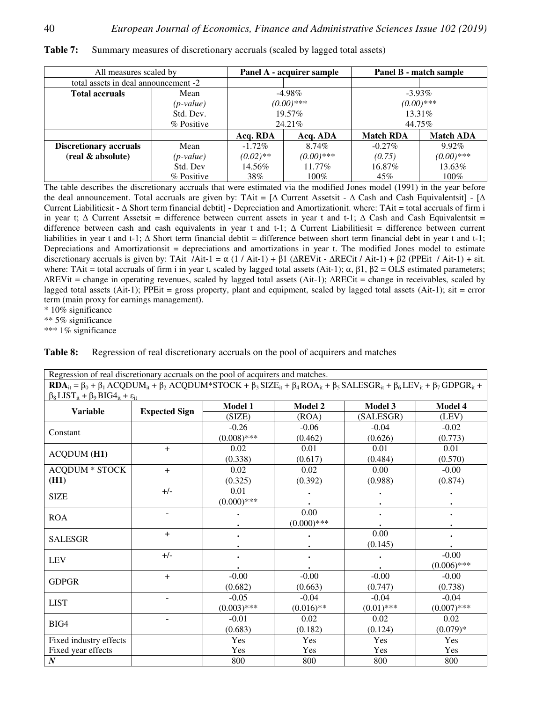| All measures scaled by               |             | Panel A - acquirer sample |              | Panel B - match sample |                  |
|--------------------------------------|-------------|---------------------------|--------------|------------------------|------------------|
| total assets in deal announcement -2 |             |                           |              |                        |                  |
| <b>Total accruals</b>                | Mean        |                           | $-4.98\%$    |                        | $-3.93\%$        |
|                                      | $(p-value)$ |                           | $(0.00)$ *** |                        | $(0.00)$ ***     |
|                                      | Std. Dev.   | 19.57%                    |              | 13.31\%                |                  |
|                                      | % Positive  | 24.21\%                   |              | 44.75%                 |                  |
|                                      |             | Acq. RDA                  | Acq. ADA     | <b>Match RDA</b>       | <b>Match ADA</b> |
| <b>Discretionary accruals</b>        | Mean        | $-1.72\%$                 | 8.74%        | $-0.27\%$              | $9.92\%$         |
| (real & absolute)                    | $(p-value)$ | $(0.02)$ **               | $(0.00)$ *** | (0.75)                 | $(0.00)$ ***     |
|                                      | Std. Dev    | 14.56%                    | 11.77%       | 16.87%                 | 13.63%           |
|                                      | % Positive  | 38%                       | $100\%$      | 45%                    | $100\%$          |

**Table 7:** Summary measures of discretionary accruals (scaled by lagged total assets)

The table describes the discretionary accruals that were estimated via the modified Jones model (1991) in the year before the deal announcement. Total accruals are given by: TAit = [∆ Current Assetsit - ∆ Cash and Cash Equivalentsit] - [∆ Current Liabilitiesit - ∆ Short term financial debtit] - Depreciation and Amortizationit. where: TAit = total accruals of firm i in year t;  $\Delta$  Current Assetsit = difference between current assets in year t and t-1;  $\Delta$  Cash and Cash Equivalentsit = difference between cash and cash equivalents in year t and t-1; ∆ Current Liabilitiesit = difference between current liabilities in year t and t-1; ∆ Short term financial debtit = difference between short term financial debt in year t and t-1; Depreciations and Amortizationsit = depreciations and amortizations in year t. The modified Jones model to estimate discretionary accruals is given by: TAit /Ait-1 =  $\alpha$  (1 / Ait-1) +  $\beta$ 1 ( $\Delta$ REVit -  $\Delta$ RECit / Ait-1) +  $\beta$ 2 (PPEit / Ait-1) +  $\epsilon$ it. where: TAit = total accruals of firm i in year t, scaled by lagged total assets (Ait-1);  $\alpha$ ,  $\beta$ 1,  $\beta$ 2 = OLS estimated parameters; ∆REVit = change in operating revenues, scaled by lagged total assets (Ait-1); ∆RECit = change in receivables, scaled by lagged total assets (Ait-1); PPEit = gross property, plant and equipment, scaled by lagged total assets (Ait-1);  $\epsilon$ it = error term (main proxy for earnings management).

\* 10% significance

\*\* 5% significance

\*\*\* 1% significance

| Table 8: |  | Regression of real discretionary accruals on the pool of acquirers and matches |
|----------|--|--------------------------------------------------------------------------------|
|          |  |                                                                                |

| Regression of real discretionary accruals on the pool of acquirers and matches.  |                                                                                                                                                                           |               |               |              |               |  |  |
|----------------------------------------------------------------------------------|---------------------------------------------------------------------------------------------------------------------------------------------------------------------------|---------------|---------------|--------------|---------------|--|--|
|                                                                                  | $RDA_{it} = \beta_0 + \beta_1 ACQDUM_{it} + \beta_2 ACQDUM*STOCK + \beta_3 SIZE_{it} + \beta_4 ROA_{it} + \beta_5 SALESGR_{it} + \beta_6 LEV_{it} + \beta_7 GDPGR_{it} +$ |               |               |              |               |  |  |
| $\beta_8$ LIST <sub>it</sub> + $\beta_9$ BIG4 <sub>it</sub> + $\varepsilon_{it}$ |                                                                                                                                                                           |               |               |              |               |  |  |
| <b>Variable</b>                                                                  | <b>Expected Sign</b>                                                                                                                                                      | Model 1       | Model 2       | Model 3      | Model 4       |  |  |
|                                                                                  |                                                                                                                                                                           | (SIZE)        | (ROA)         | (SALESGR)    | (LEV)         |  |  |
| Constant                                                                         |                                                                                                                                                                           | $-0.26$       | $-0.06$       | $-0.04$      | $-0.02$       |  |  |
|                                                                                  |                                                                                                                                                                           | $(0.008)$ *** | (0.462)       | (0.626)      | (0.773)       |  |  |
| <b>ACQDUM (H1)</b>                                                               | $+$                                                                                                                                                                       | 0.02          | 0.01          | 0.01         | 0.01          |  |  |
|                                                                                  |                                                                                                                                                                           | (0.338)       | (0.617)       | (0.484)      | (0.570)       |  |  |
| <b>ACQDUM * STOCK</b>                                                            | $+$                                                                                                                                                                       | 0.02          | 0.02          | 0.00         | $-0.00$       |  |  |
| (H1)                                                                             |                                                                                                                                                                           | (0.325)       | (0.392)       | (0.988)      | (0.874)       |  |  |
| <b>SIZE</b>                                                                      | $+/-$                                                                                                                                                                     | 0.01          |               |              |               |  |  |
|                                                                                  |                                                                                                                                                                           | $(0.000)$ *** |               |              |               |  |  |
| <b>ROA</b>                                                                       |                                                                                                                                                                           |               | 0.00          |              |               |  |  |
|                                                                                  |                                                                                                                                                                           |               | $(0.000)$ *** |              |               |  |  |
| <b>SALESGR</b>                                                                   | $+$                                                                                                                                                                       |               |               | 0.00         |               |  |  |
|                                                                                  |                                                                                                                                                                           |               |               | (0.145)      |               |  |  |
| <b>LEV</b>                                                                       | $+/-$                                                                                                                                                                     |               |               |              | $-0.00$       |  |  |
|                                                                                  |                                                                                                                                                                           |               |               |              | $(0.006)$ *** |  |  |
| <b>GDPGR</b>                                                                     | $+$                                                                                                                                                                       | $-0.00$       | $-0.00$       | $-0.00$      | $-0.00$       |  |  |
|                                                                                  |                                                                                                                                                                           | (0.682)       | (0.663)       | (0.747)      | (0.738)       |  |  |
| <b>LIST</b>                                                                      |                                                                                                                                                                           | $-0.05$       | $-0.04$       | $-0.04$      | $-0.04$       |  |  |
|                                                                                  |                                                                                                                                                                           | $(0.003)$ *** | $(0.016)$ **  | $(0.01)$ *** | $(0.007)$ *** |  |  |
| BIG4                                                                             |                                                                                                                                                                           | $-0.01$       | 0.02          | 0.02         | 0.02          |  |  |
|                                                                                  |                                                                                                                                                                           | (0.683)       | (0.182)       | (0.124)      | $(0.079)*$    |  |  |
| Fixed industry effects                                                           |                                                                                                                                                                           | <b>Yes</b>    | <b>Yes</b>    | Yes          | Yes           |  |  |
| Fixed year effects                                                               |                                                                                                                                                                           | Yes           | Yes           | Yes          | Yes           |  |  |
| $\boldsymbol{N}$                                                                 |                                                                                                                                                                           | 800           | 800           | 800          | 800           |  |  |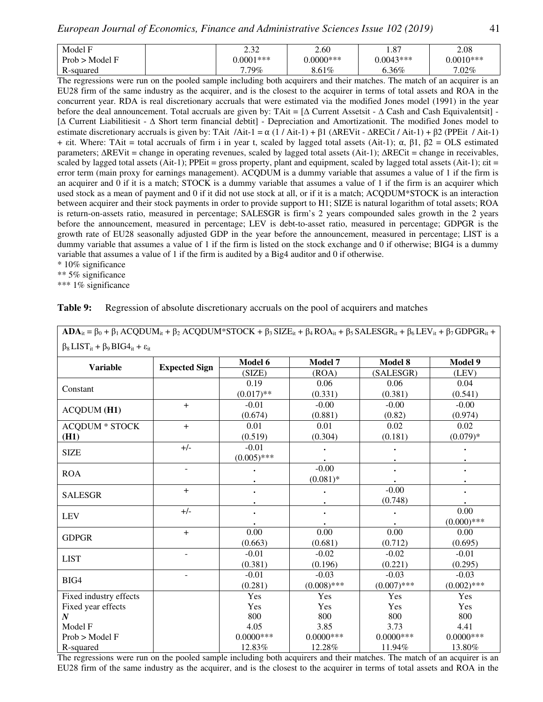| Model            | ר ר<br>2.JZ | 2.60        | $\circ$<br>1.O / | 2.08        |
|------------------|-------------|-------------|------------------|-------------|
| $Prob$ > Model F | $0.0001***$ | $0.0000***$ | $0.0043***$      | $0.0010***$ |
| R-squared        | 7.79%       | 3.61%       | 5.36%            | $.02\%$     |

The regressions were run on the pooled sample including both acquirers and their matches. The match of an acquirer is an EU28 firm of the same industry as the acquirer, and is the closest to the acquirer in terms of total assets and ROA in the concurrent year. RDA is real discretionary accruals that were estimated via the modified Jones model (1991) in the year before the deal announcement. Total accruals are given by: TAit = [∆ Current Assetsit - ∆ Cash and Cash Equivalentsit] - [∆ Current Liabilitiesit - ∆ Short term financial debtit] - Depreciation and Amortizationit. The modified Jones model to estimate discretionary accruals is given by: TAit /Ait-1 =  $\alpha$  (1 / Ait-1) +  $\beta$ 1 ( $\Delta$ REVit -  $\Delta$ RECit / Ait-1) +  $\beta$ 2 (PPEit / Ait-1) + εit. Where: TAit = total accruals of firm i in year t, scaled by lagged total assets (Ait-1);  $\alpha$ ,  $\beta$ 1,  $\beta$ 2 = OLS estimated parameters; ∆REVit = change in operating revenues, scaled by lagged total assets (Ait-1); ∆RECit = change in receivables, scaled by lagged total assets (Ait-1); PPEit = gross property, plant and equipment, scaled by lagged total assets (Ait-1); εit = error term (main proxy for earnings management). ACQDUM is a dummy variable that assumes a value of 1 if the firm is an acquirer and 0 if it is a match; STOCK is a dummy variable that assumes a value of 1 if the firm is an acquirer which used stock as a mean of payment and 0 if it did not use stock at all, or if it is a match; ACQDUM\*STOCK is an interaction between acquirer and their stock payments in order to provide support to H1; SIZE is natural logarithm of total assets; ROA is return-on-assets ratio, measured in percentage; SALESGR is firm's 2 years compounded sales growth in the 2 years before the announcement, measured in percentage; LEV is debt-to-asset ratio, measured in percentage; GDPGR is the growth rate of EU28 seasonally adjusted GDP in the year before the announcement, measured in percentage; LIST is a dummy variable that assumes a value of 1 if the firm is listed on the stock exchange and 0 if otherwise; BIG4 is a dummy variable that assumes a value of 1 if the firm is audited by a Big4 auditor and 0 if otherwise.

\* 10% significance

\*\* 5% significance

\*\*\* 1% significance

|  |  |  | <b>Table 9:</b> Regression of absolute discretionary accruals on the pool of acquirers and matches |  |  |  |  |
|--|--|--|----------------------------------------------------------------------------------------------------|--|--|--|--|
|--|--|--|----------------------------------------------------------------------------------------------------|--|--|--|--|

| $\beta_8$ LIST <sub>it</sub> + $\beta_9$ BIG4 <sub>it</sub> + $\varepsilon_{it}$ |                      |                    |               |               |               |  |  |
|----------------------------------------------------------------------------------|----------------------|--------------------|---------------|---------------|---------------|--|--|
|                                                                                  |                      | Model 6<br>Model 7 |               | Model 8       | Model 9       |  |  |
| <b>Variable</b>                                                                  | <b>Expected Sign</b> | (SIZE)             | (ROA)         | (SALESGR)     | (LEV)         |  |  |
|                                                                                  |                      | 0.19               | 0.06          | 0.06          | 0.04          |  |  |
| Constant                                                                         |                      | $(0.017)$ **       | (0.331)       | (0.381)       | (0.541)       |  |  |
|                                                                                  | $+$                  | $-0.01$            | $-0.00$       | $-0.00$       | $-0.00$       |  |  |
| ACQDUM (H1)                                                                      |                      | (0.674)            | (0.881)       | (0.82)        | (0.974)       |  |  |
| <b>ACQDUM * STOCK</b>                                                            | $+$                  | 0.01               | 0.01          | 0.02          | 0.02          |  |  |
| (H1)                                                                             |                      | (0.519)            | (0.304)       | (0.181)       | $(0.079)*$    |  |  |
|                                                                                  | $+/-$                | $-0.01$            |               |               |               |  |  |
| <b>SIZE</b>                                                                      |                      | $(0.005)$ ***      |               |               |               |  |  |
|                                                                                  | $\blacksquare$       |                    | $-0.00$       |               | $\bullet$     |  |  |
| <b>ROA</b>                                                                       |                      | $\bullet$          | $(0.081)$ *   |               |               |  |  |
|                                                                                  | $+$                  |                    |               | $-0.00$       |               |  |  |
| <b>SALESGR</b>                                                                   |                      | $\bullet$          |               | (0.748)       |               |  |  |
|                                                                                  | $+/-$                | $\bullet$          |               |               | 0.00          |  |  |
| <b>LEV</b>                                                                       |                      |                    |               |               | $(0.000)$ *** |  |  |
|                                                                                  | $+$                  | 0.00               | 0.00          | 0.00          | 0.00          |  |  |
| <b>GDPGR</b>                                                                     |                      | (0.663)            | (0.681)       | (0.712)       | (0.695)       |  |  |
|                                                                                  |                      | $-0.01$            | $-0.02$       | $-0.02$       | $-0.01$       |  |  |
| <b>LIST</b>                                                                      |                      | (0.381)            | (0.196)       | (0.221)       | (0.295)       |  |  |
|                                                                                  |                      | $-0.01$            | $-0.03$       | $-0.03$       | $-0.03$       |  |  |
| BIG4                                                                             |                      | (0.281)            | $(0.008)$ *** | $(0.007)$ *** | $(0.002)$ *** |  |  |
| Fixed industry effects                                                           |                      | Yes                | Yes           | Yes           | Yes           |  |  |
| Fixed year effects                                                               |                      | Yes                | Yes           | Yes           | Yes           |  |  |
| $\boldsymbol{N}$                                                                 |                      | 800                | 800           | 800           | 800           |  |  |
| Model F                                                                          |                      | 4.05               | 3.85          | 3.73          | 4.41          |  |  |
| Prob > Model F                                                                   |                      | $0.0000$ ***       | $0.0000$ ***  | $0.0000$ ***  | $0.0000$ ***  |  |  |
| R-squared                                                                        |                      | 12.83%             | 12.28%        | 11.94%        | 13.80%        |  |  |

**ADA**<sub>it</sub> =  $\beta_0$  +  $\beta_1$  ACQDUM<sub>it</sub> +  $\beta_2$  ACQDUM\*STOCK +  $\beta_3$  SIZE<sub>it</sub> +  $\beta_4$  ROA<sub>it</sub> +  $\beta_5$  SALESGR<sub>it</sub> +  $\beta_6$  LEV<sub>it</sub> +  $\beta_7$  GDPGR<sub>it</sub> +

The regressions were run on the pooled sample including both acquirers and their matches. The match of an acquirer is an EU28 firm of the same industry as the acquirer, and is the closest to the acquirer in terms of total assets and ROA in the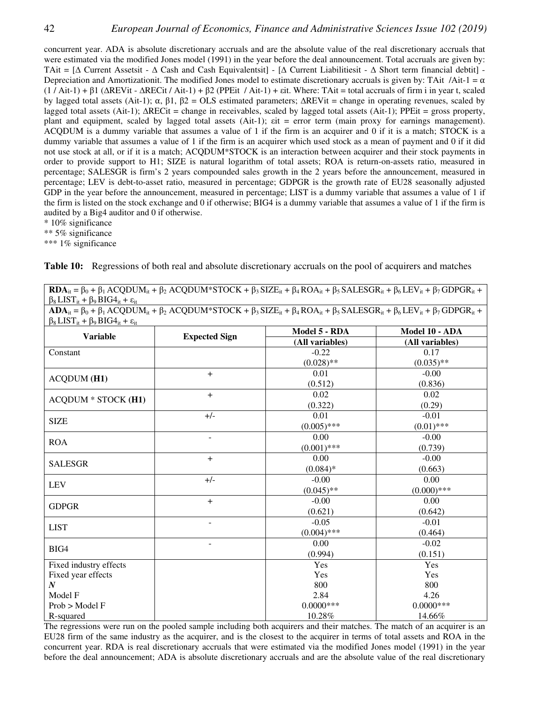concurrent year. ADA is absolute discretionary accruals and are the absolute value of the real discretionary accruals that were estimated via the modified Jones model (1991) in the year before the deal announcement. Total accruals are given by: TAit = [∆ Current Assetsit - ∆ Cash and Cash Equivalentsit] - [∆ Current Liabilitiesit - ∆ Short term financial debtit] - Depreciation and Amortizationit. The modified Jones model to estimate discretionary accruals is given by: TAit /Ait-1 =  $\alpha$  $(1 / \text{Ait-1}) + \beta 1 (\Delta \text{REVit} - \Delta \text{RECit} / \text{Ait-1}) + \beta 2 (\text{PPEit} / \text{Ait-1}) + \text{cit}$ . Where: TAit = total accruals of firm i in year t, scaled by lagged total assets (Ait-1); ⍺, β1, β2 = OLS estimated parameters; ∆REVit = change in operating revenues, scaled by lagged total assets (Ait-1); ∆RECit = change in receivables, scaled by lagged total assets (Ait-1); PPEit = gross property, plant and equipment, scaled by lagged total assets (Ait-1); εit = error term (main proxy for earnings management). ACQDUM is a dummy variable that assumes a value of 1 if the firm is an acquirer and 0 if it is a match; STOCK is a dummy variable that assumes a value of 1 if the firm is an acquirer which used stock as a mean of payment and 0 if it did not use stock at all, or if it is a match; ACQDUM\*STOCK is an interaction between acquirer and their stock payments in order to provide support to H1; SIZE is natural logarithm of total assets; ROA is return-on-assets ratio, measured in percentage; SALESGR is firm's 2 years compounded sales growth in the 2 years before the announcement, measured in percentage; LEV is debt-to-asset ratio, measured in percentage; GDPGR is the growth rate of EU28 seasonally adjusted GDP in the year before the announcement, measured in percentage; LIST is a dummy variable that assumes a value of 1 if the firm is listed on the stock exchange and 0 if otherwise; BIG4 is a dummy variable that assumes a value of 1 if the firm is audited by a Big4 auditor and 0 if otherwise.

\* 10% significance

\*\* 5% significance

\*\*\* 1% significance

|  | Table 10: Regressions of both real and absolute discretionary accruals on the pool of acquirers and matches |  |  |  |  |  |  |  |  |  |
|--|-------------------------------------------------------------------------------------------------------------|--|--|--|--|--|--|--|--|--|
|--|-------------------------------------------------------------------------------------------------------------|--|--|--|--|--|--|--|--|--|

**RDA**<sub>it</sub> =  $\beta_0$  +  $\beta_1$  ACQDUM<sub>it</sub> +  $\beta_2$  ACQDUM\*STOCK +  $\beta_3$  SIZE<sub>it</sub> +  $\beta_4$  ROA<sub>it</sub> +  $\beta_5$  SALESGR<sub>it</sub> +  $\beta_6$  LEV<sub>it</sub> +  $\beta_7$  GDPGR<sub>it</sub> +  $β_8$  LIST<sub>it</sub> +  $β_9$  BIG4<sub>it</sub> +  $ε$ <sub>it</sub>  $ADA_1 = B_0 + B_1 A$ CODUM<sub>it</sub> + β<sub>2</sub> ACQDUM\*STOCK + β<sub>2</sub> SIZE<sub>it</sub> + β<sub>4</sub> ROA<sub>11</sub> + β<sub>5</sub> SALESGR<sub>it</sub> + β<sub>6</sub> LEV<sub>it</sub> + β<sub>5</sub> GDPGR<sub>it</sub> +

|                            |                          | Model 5 - RDA   | Model 10 - ADA<br>(All variables) |  |  |
|----------------------------|--------------------------|-----------------|-----------------------------------|--|--|
| <b>Variable</b>            | <b>Expected Sign</b>     | (All variables) |                                   |  |  |
| Constant                   |                          | $-0.22$         | 0.17                              |  |  |
|                            |                          | $(0.028)$ **    | $(0.035)$ **                      |  |  |
| <b>ACQDUM (H1)</b>         | $+$                      | 0.01            | $-0.00$                           |  |  |
|                            |                          | (0.512)         | (0.836)                           |  |  |
|                            | $+$                      | 0.02            | 0.02                              |  |  |
| <b>ACQDUM * STOCK (H1)</b> |                          | (0.322)         | (0.29)                            |  |  |
|                            | $+/-$                    | 0.01            | $-0.01$                           |  |  |
| <b>SIZE</b>                |                          | $(0.005)$ ***   | $(0.01)$ ***                      |  |  |
|                            | $\blacksquare$           | 0.00            | $-0.00$                           |  |  |
| <b>ROA</b>                 |                          | $(0.001)$ ***   | (0.739)                           |  |  |
|                            | $+$                      | 0.00            | $-0.00$                           |  |  |
| <b>SALESGR</b>             |                          | $(0.084)*$      | (0.663)                           |  |  |
|                            | $+/-$                    | $-0.00$         | 0.00                              |  |  |
| <b>LEV</b>                 |                          | $(0.045)$ **    | $(0.000)$ ***                     |  |  |
|                            | $+$                      | $-0.00$         | 0.00                              |  |  |
| <b>GDPGR</b>               |                          | (0.621)         | (0.642)                           |  |  |
|                            |                          | $-0.05$         | $-0.01$                           |  |  |
| <b>LIST</b>                |                          | $(0.004)$ ***   | (0.464)                           |  |  |
| BIG4                       | $\overline{\phantom{a}}$ | 0.00            | $-0.02$                           |  |  |
|                            |                          | (0.994)         | (0.151)                           |  |  |
| Fixed industry effects     |                          | Yes             | Yes                               |  |  |
| Fixed year effects         |                          | Yes             | Yes                               |  |  |
| $\boldsymbol{N}$           |                          | 800             | 800                               |  |  |
| Model F                    |                          | 2.84            | 4.26                              |  |  |
| Prob > Model F             |                          | $0.0000$ ***    | $0.0000$ ***                      |  |  |
| R-squared                  |                          | 10.28%          | 14.66%                            |  |  |

The regressions were run on the pooled sample including both acquirers and their matches. The match of an acquirer is an EU28 firm of the same industry as the acquirer, and is the closest to the acquirer in terms of total assets and ROA in the concurrent year. RDA is real discretionary accruals that were estimated via the modified Jones model (1991) in the year before the deal announcement; ADA is absolute discretionary accruals and are the absolute value of the real discretionary